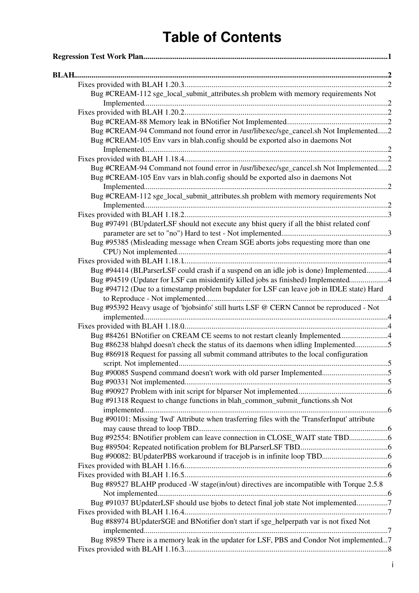| Bug #CREAM-112 sge_local_submit_attributes.sh problem with memory requirements Not            |  |
|-----------------------------------------------------------------------------------------------|--|
|                                                                                               |  |
|                                                                                               |  |
|                                                                                               |  |
| Bug #CREAM-94 Command not found error in /usr/libexec/sge_cancel.sh Not Implemented2          |  |
| Bug #CREAM-105 Env vars in blah.config should be exported also in daemons Not                 |  |
|                                                                                               |  |
| Bug #CREAM-94 Command not found error in /usr/libexec/sge_cancel.sh Not Implemented2          |  |
| Bug #CREAM-105 Env vars in blah.config should be exported also in daemons Not                 |  |
|                                                                                               |  |
| Bug #CREAM-112 sge_local_submit_attributes.sh problem with memory requirements Not            |  |
|                                                                                               |  |
|                                                                                               |  |
| Bug #97491 (BUpdaterLSF should not execute any bhist query if all the bhist related conf      |  |
|                                                                                               |  |
| Bug #95385 (Misleading message when Cream SGE aborts jobs requesting more than one            |  |
|                                                                                               |  |
|                                                                                               |  |
| Bug #94414 (BLParserLSF could crash if a suspend on an idle job is done) Implemented4         |  |
| Bug #94519 (Updater for LSF can misidentify killed jobs as finished) Implemented4             |  |
| Bug #94712 (Due to a timestamp problem bupdater for LSF can leave job in IDLE state) Hard     |  |
|                                                                                               |  |
| Bug #95392 Heavy usage of 'bjobsinfo' still hurts LSF @ CERN Cannot be reproduced - Not       |  |
|                                                                                               |  |
|                                                                                               |  |
| Bug #84261 BNotifier on CREAM CE seems to not restart cleanly Implemented4                    |  |
| Bug #86238 blahpd doesn't check the status of its daemons when idling Implemented5            |  |
| Bug #86918 Request for passing all submit command attributes to the local configuration       |  |
| Bug #90085 Suspend command doesn't work with old parser Implemented5                          |  |
|                                                                                               |  |
|                                                                                               |  |
| Bug #91318 Request to change functions in blah_common_submit_functions.sh Not                 |  |
|                                                                                               |  |
| Bug #90101: Missing 'Iwd' Attribute when trasferring files with the 'TransferInput' attribute |  |
|                                                                                               |  |
| Bug #92554: BNotifier problem can leave connection in CLOSE_WAIT state TBD                    |  |
|                                                                                               |  |
|                                                                                               |  |
|                                                                                               |  |
|                                                                                               |  |
| Bug #89527 BLAHP produced -W stage(in/out) directives are incompatible with Torque 2.5.8      |  |
|                                                                                               |  |
| Bug #91037 BUpdaterLSF should use bjobs to detect final job state Not implemented7            |  |
|                                                                                               |  |
| Bug #88974 BUpdaterSGE and BNotifier don't start if sge_helperpath var is not fixed Not       |  |
| Bug 89859 There is a memory leak in the updater for LSF, PBS and Condor Not implemented7      |  |
|                                                                                               |  |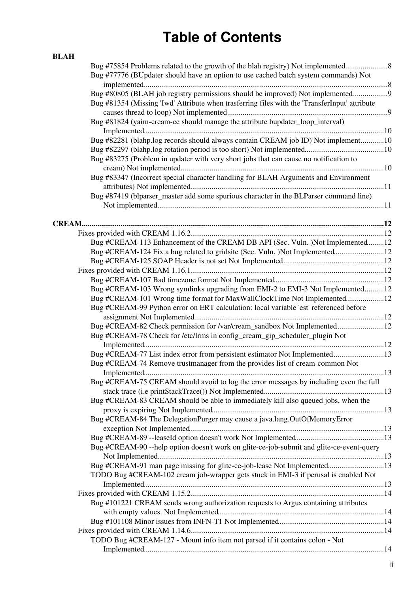| <b>BLAH</b> |                                                                                               |  |
|-------------|-----------------------------------------------------------------------------------------------|--|
|             | Bug #75854 Problems related to the growth of the blah registry) Not implemented               |  |
|             | Bug #77776 (BUpdater should have an option to use cached batch system commands) Not           |  |
|             |                                                                                               |  |
|             | Bug #80805 (BLAH job registry permissions should be improved) Not implemented                 |  |
|             | Bug #81354 (Missing 'Iwd' Attribute when trasferring files with the 'TransferInput' attribute |  |
|             |                                                                                               |  |
|             | Bug #81824 (yaim-cream-ce should manage the attribute bupdater_loop_interval)                 |  |
|             |                                                                                               |  |
|             | Bug #82281 (blahp.log records should always contain CREAM job ID) Not implement10             |  |
|             |                                                                                               |  |
|             | Bug #83275 (Problem in updater with very short jobs that can cause no notification to         |  |
|             |                                                                                               |  |
|             | Bug #83347 (Incorrect special character handling for BLAH Arguments and Environment           |  |
|             |                                                                                               |  |
|             | Bug #87419 (blparser_master add some spurious character in the BLParser command line)         |  |
|             |                                                                                               |  |
|             |                                                                                               |  |
|             |                                                                                               |  |
|             |                                                                                               |  |
|             | Bug #CREAM-113 Enhancement of the CREAM DB API (Sec. Vuln.) Not Implemented12                 |  |
|             | Bug #CREAM-124 Fix a bug related to gridsite (Sec. Vuln. )Not Implemented12                   |  |
|             |                                                                                               |  |
|             |                                                                                               |  |
|             |                                                                                               |  |
|             | Bug #CREAM-103 Wrong symlinks upgrading from EMI-2 to EMI-3 Not Implemented12                 |  |
|             | Bug #CREAM-101 Wrong time format for MaxWallClockTime Not Implemented12                       |  |
|             | Bug #CREAM-99 Python error on ERT calculation: local variable 'est' referenced before         |  |
|             |                                                                                               |  |
|             | Bug #CREAM-82 Check permission for /var/cream_sandbox Not Implemented12                       |  |
|             | Bug #CREAM-78 Check for /etc/lrms in config_cream_gip_scheduler_plugin Not                    |  |
|             |                                                                                               |  |
|             | Bug #CREAM-77 List index error from persistent estimator Not Implemented13                    |  |
|             | Bug #CREAM-74 Remove trustmanager from the provides list of cream-common Not                  |  |
|             |                                                                                               |  |
|             | Bug #CREAM-75 CREAM should avoid to log the error messages by including even the full         |  |
|             |                                                                                               |  |
|             | Bug #CREAM-83 CREAM should be able to immediately kill also queued jobs, when the             |  |
|             |                                                                                               |  |
|             | Bug #CREAM-84 The DelegationPurger may cause a java.lang.OutOfMemoryError                     |  |
|             |                                                                                               |  |
|             |                                                                                               |  |
|             | Bug #CREAM-90 --help option doesn't work on glite-ce-job-submit and glite-ce-event-query      |  |
|             |                                                                                               |  |
|             | Bug #CREAM-91 man page missing for glite-ce-job-lease Not Implemented13                       |  |
|             | TODO Bug #CREAM-102 cream job-wrapper gets stuck in EMI-3 if perusal is enabled Not           |  |
|             |                                                                                               |  |
|             |                                                                                               |  |
|             | Bug #101221 CREAM sends wrong authorization requests to Argus containing attributes           |  |
|             |                                                                                               |  |
|             |                                                                                               |  |
|             |                                                                                               |  |
|             | TODO Bug #CREAM-127 - Mount info item not parsed if it contains colon - Not                   |  |
|             |                                                                                               |  |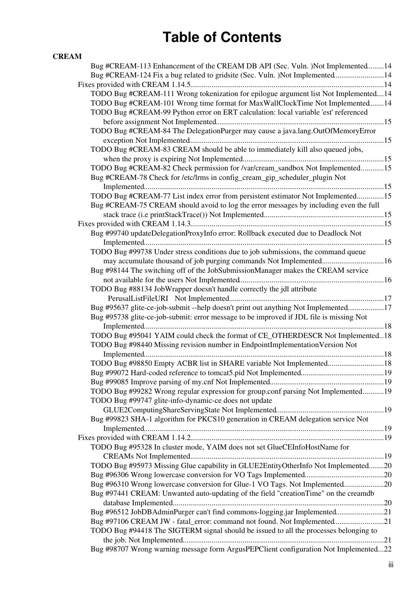#### **[CREAM](#page-17-0)**

| Bug #CREAM-113 Enhancement of the CREAM DB API (Sec. Vuln.) Not Implemented14           |  |
|-----------------------------------------------------------------------------------------|--|
| Bug #CREAM-124 Fix a bug related to gridsite (Sec. Vuln. )Not Implemented14             |  |
|                                                                                         |  |
| TODO Bug #CREAM-111 Wrong tokenization for epilogue argument list Not Implemented14     |  |
| TODO Bug #CREAM-101 Wrong time format for MaxWallClockTime Not Implemented14            |  |
| TODO Bug #CREAM-99 Python error on ERT calculation: local variable 'est' referenced     |  |
|                                                                                         |  |
| TODO Bug #CREAM-84 The DelegationPurger may cause a java.lang.OutOfMemoryError          |  |
|                                                                                         |  |
| TODO Bug #CREAM-83 CREAM should be able to immediately kill also queued jobs,           |  |
|                                                                                         |  |
| TODO Bug #CREAM-82 Check permission for /var/cream_sandbox Not Implemented15            |  |
| Bug #CREAM-78 Check for /etc/lrms in config_cream_gip_scheduler_plugin Not              |  |
|                                                                                         |  |
| TODO Bug #CREAM-77 List index error from persistent estimator Not Implemented15         |  |
| Bug #CREAM-75 CREAM should avoid to log the error messages by including even the full   |  |
|                                                                                         |  |
|                                                                                         |  |
|                                                                                         |  |
| Bug #99740 updateDelegationProxyInfo error: Rollback executed due to Deadlock Not       |  |
|                                                                                         |  |
| TODO Bug #99738 Under stress conditions due to job submissions, the command queue       |  |
|                                                                                         |  |
| Bug #98144 The switching off of the JobSubmissionManager makes the CREAM service        |  |
|                                                                                         |  |
| TODO Bug #88134 JobWrapper doesn't handle correctly the jdl attribute                   |  |
|                                                                                         |  |
| Bug #95637 glite-ce-job-submit --help doesn't print out anything Not Implemented17      |  |
| Bug #95738 glite-ce-job-submit: error message to be improved if JDL file is missing Not |  |
|                                                                                         |  |
| TODO Bug #95041 YAIM could check the format of CE_OTHERDESCR Not Implemented18          |  |
| TODO Bug #98440 Missing revision number in EndpointImplementationVersion Not            |  |
|                                                                                         |  |
| TODO Bug #98850 Empty ACBR list in SHARE variable Not Implemented 18                    |  |
|                                                                                         |  |
|                                                                                         |  |
| TODO Bug #99282 Wrong regular expression for group.conf parsing Not Implemented19       |  |
| TODO Bug #99747 glite-info-dynamic-ce does not update                                   |  |
|                                                                                         |  |
| Bug #99823 SHA-1 algorithm for PKCS10 generation in CREAM delegation service Not        |  |
|                                                                                         |  |
|                                                                                         |  |
| TODO Bug #95328 In cluster mode, YAIM does not set GlueCEInfoHostName for               |  |
|                                                                                         |  |
| TODO Bug #95973 Missing Glue capability in GLUE2EntityOtherInfo Not Implemented20       |  |
|                                                                                         |  |
| Bug #96310 Wrong lowercase conversion for Glue-1 VO Tags. Not Implemented20             |  |
| Bug #97441 CREAM: Unwanted auto-updating of the field "creationTime" on the creamdb     |  |
|                                                                                         |  |
| Bug #96512 JobDBAdminPurger can't find commons-logging.jar Implemented21                |  |
| Bug #97106 CREAM JW - fatal_error: command not found. Not Implemented21                 |  |
| TODO Bug #94418 The SIGTERM signal should be issued to all the processes belonging to   |  |
|                                                                                         |  |
| Bug #98707 Wrong warning message form ArgusPEPClient configuration Not Implemented22    |  |
|                                                                                         |  |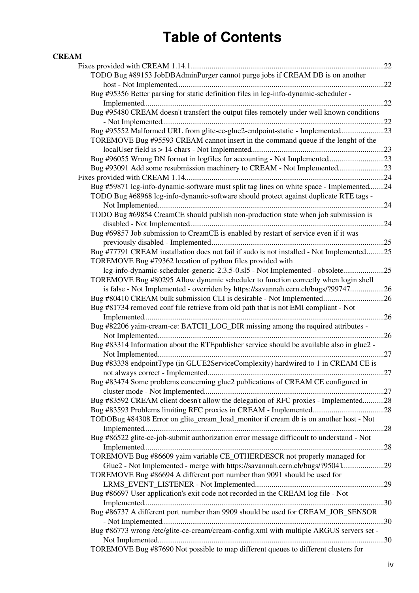#### **[CREAM](#page-17-0)**

| TODO Bug #89153 JobDBAdminPurger cannot purge jobs if CREAM DB is on another               |  |
|--------------------------------------------------------------------------------------------|--|
|                                                                                            |  |
| Bug #95356 Better parsing for static definition files in lcg-info-dynamic-scheduler -      |  |
|                                                                                            |  |
| Bug #95480 CREAM doesn't transfert the output files remotely under well known conditions   |  |
|                                                                                            |  |
| Bug #95552 Malformed URL from glite-ce-glue2-endpoint-static - Implemented23               |  |
| TOREMOVE Bug #95593 CREAM cannot insert in the command queue if the lenght of the          |  |
|                                                                                            |  |
| Bug #96055 Wrong DN format in logfiles for accounting - Not Implemented23                  |  |
| Bug #93091 Add some resubmission machinery to CREAM - Not Implemented23                    |  |
|                                                                                            |  |
| Bug #59871 lcg-info-dynamic-software must split tag lines on white space - Implemented24   |  |
| TODO Bug #68968 lcg-info-dynamic-software should protect against duplicate RTE tags -      |  |
|                                                                                            |  |
| TODO Bug #69854 CreamCE should publish non-production state when job submission is         |  |
|                                                                                            |  |
| Bug #69857 Job submission to CreamCE is enabled by restart of service even if it was       |  |
|                                                                                            |  |
| Bug #77791 CREAM installation does not fail if sudo is not installed - Not Implemented25   |  |
| TOREMOVE Bug #79362 location of python files provided with                                 |  |
| lcg-info-dynamic-scheduler-generic-2.3.5-0.sl5 - Not Implemented - obsolete25              |  |
| TOREMOVE Bug #80295 Allow dynamic scheduler to function correctly when login shell         |  |
| is false - Not Implemented - overriden by https://savannah.cern.ch/bugs/?9974726           |  |
| Bug #80410 CREAM bulk submission CLI is desirable - Not Implemented26                      |  |
| Bug #81734 removed conf file retrieve from old path that is not EMI compliant - Not        |  |
|                                                                                            |  |
| Bug #82206 yaim-cream-ce: BATCH_LOG_DIR missing among the required attributes -            |  |
|                                                                                            |  |
| Bug #83314 Information about the RTE publisher service should be available also in glue2 - |  |
|                                                                                            |  |
| Bug #83338 endpointType (in GLUE2ServiceComplexity) hardwired to 1 in CREAM CE is          |  |
|                                                                                            |  |
| Bug #83474 Some problems concerning glue2 publications of CREAM CE configured in           |  |
|                                                                                            |  |
| Bug #83592 CREAM client doesn't allow the delegation of RFC proxies - Implemented28        |  |
|                                                                                            |  |
| TODOBug #84308 Error on glite_cream_load_monitor if cream db is on another host - Not      |  |
|                                                                                            |  |
| Bug #86522 glite-ce-job-submit authorization error message difficoult to understand - Not  |  |
| TOREMOVE Bug #86609 yaim variable CE OTHERDESCR not properly managed for                   |  |
|                                                                                            |  |
| Glue2 - Not Implemented - merge with https://savannah.cern.ch/bugs/?9504129                |  |
| TOREMOVE Bug #86694 A different port number than 9091 should be used for                   |  |
|                                                                                            |  |
| Bug #86697 User application's exit code not recorded in the CREAM log file - Not           |  |
| Bug #86737 A different port number than 9909 should be used for CREAM_JOB_SENSOR           |  |
|                                                                                            |  |
| Bug #86773 wrong /etc/glite-ce-cream/cream-config.xml with multiple ARGUS servers set -    |  |
|                                                                                            |  |
| TOREMOVE Bug #87690 Not possible to map different queues to different clusters for         |  |
|                                                                                            |  |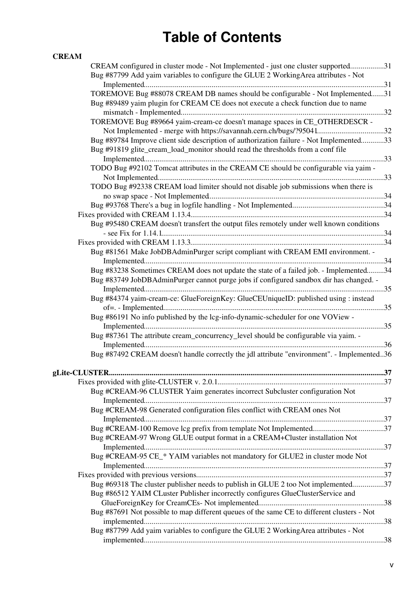#### **[CREAM](#page-17-0)**

| CREAM configured in cluster mode - Not Implemented - just one cluster supported31          |  |
|--------------------------------------------------------------------------------------------|--|
| Bug #87799 Add yaim variables to configure the GLUE 2 Working Area attributes - Not        |  |
|                                                                                            |  |
| TOREMOVE Bug #88078 CREAM DB names should be configurable - Not Implemented31              |  |
| Bug #89489 yaim plugin for CREAM CE does not execute a check function due to name          |  |
|                                                                                            |  |
| TOREMOVE Bug #89664 yaim-cream-ce doesn't manage spaces in CE_OTHERDESCR -                 |  |
|                                                                                            |  |
| Not Implemented - merge with https://savannah.cern.ch/bugs/?9504132                        |  |
| Bug #89784 Improve client side description of authorization failure - Not Implemented33    |  |
| Bug #91819 glite_cream_load_monitor should read the thresholds from a conf file            |  |
|                                                                                            |  |
| TODO Bug #92102 Tomcat attributes in the CREAM CE should be configurable via yaim -        |  |
|                                                                                            |  |
| TODO Bug #92338 CREAM load limiter should not disable job submissions when there is        |  |
|                                                                                            |  |
|                                                                                            |  |
|                                                                                            |  |
| Bug #95480 CREAM doesn't transfert the output files remotely under well known conditions   |  |
|                                                                                            |  |
|                                                                                            |  |
| Bug #81561 Make JobDBAdminPurger script compliant with CREAM EMI environment. -            |  |
|                                                                                            |  |
| Bug #83238 Sometimes CREAM does not update the state of a failed job. - Implemented34      |  |
| Bug #83749 JobDBAdminPurger cannot purge jobs if configured sandbox dir has changed. -     |  |
|                                                                                            |  |
|                                                                                            |  |
| Bug #84374 yaim-cream-ce: GlueForeignKey: GlueCEUniqueID: published using : instead        |  |
|                                                                                            |  |
| Bug #86191 No info published by the lcg-info-dynamic-scheduler for one VOView -            |  |
|                                                                                            |  |
| Bug #87361 The attribute cream_concurrency_level should be configurable via vaim. -        |  |
|                                                                                            |  |
| Bug #87492 CREAM doesn't handle correctly the jdl attribute "environment". - Implemented36 |  |
|                                                                                            |  |
|                                                                                            |  |
|                                                                                            |  |
| Bug #CREAM-96 CLUSTER Yaim generates incorrect Subcluster configuration Not                |  |
|                                                                                            |  |
| Bug #CREAM-98 Generated configuration files conflict with CREAM ones Not                   |  |
|                                                                                            |  |
|                                                                                            |  |
| Bug #CREAM-97 Wrong GLUE output format in a CREAM+Cluster installation Not                 |  |
|                                                                                            |  |
| Bug #CREAM-95 CE_* YAIM variables not mandatory for GLUE2 in cluster mode Not              |  |
|                                                                                            |  |
|                                                                                            |  |
|                                                                                            |  |
| Bug #69318 The cluster publisher needs to publish in GLUE 2 too Not implemented37          |  |
| Bug #86512 YAIM CLuster Publisher incorrectly configures GlueClusterService and            |  |
|                                                                                            |  |
| Bug #87691 Not possible to map different queues of the same CE to different clusters - Not |  |
|                                                                                            |  |
| Bug #87799 Add yaim variables to configure the GLUE 2 Working Area attributes - Not        |  |
|                                                                                            |  |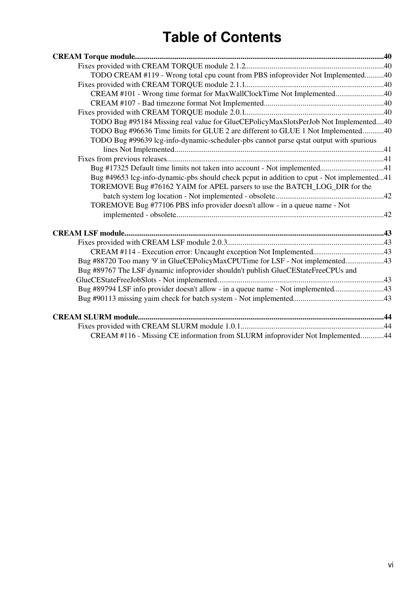| TODO CREAM #119 - Wrong total cpu count from PBS infoprovider Not Implemented40            |  |
|--------------------------------------------------------------------------------------------|--|
|                                                                                            |  |
| CREAM #101 - Wrong time format for MaxWallClockTime Not Implemented40                      |  |
|                                                                                            |  |
|                                                                                            |  |
| TODO Bug #95184 Missing real value for GlueCEPolicyMaxSlotsPerJob Not Implemented40        |  |
| TODO Bug #96636 Time limits for GLUE 2 are different to GLUE 1 Not Implemented40           |  |
| TODO Bug #99639 lcg-info-dynamic-scheduler-pbs cannot parse qstat output with spurious     |  |
|                                                                                            |  |
|                                                                                            |  |
|                                                                                            |  |
| Bug #49653 lcg-info-dynamic-pbs should check pcput in addition to cput - Not implemented41 |  |
| TOREMOVE Bug #76162 YAIM for APEL parsers to use the BATCH_LOG_DIR for the                 |  |
|                                                                                            |  |
| TOREMOVE Bug #77106 PBS info provider doesn't allow - in a queue name - Not                |  |
|                                                                                            |  |
|                                                                                            |  |
|                                                                                            |  |
|                                                                                            |  |
| Bug #88720 Too many '9' in GlueCEPolicyMaxCPUTime for LSF - Not implemented43              |  |
| Bug #89767 The LSF dynamic infoprovider shouldn't publish GlueCEStateFreeCPUs and          |  |
|                                                                                            |  |
| Bug #89794 LSF info provider doesn't allow - in a queue name - Not implemented43           |  |
|                                                                                            |  |
|                                                                                            |  |
|                                                                                            |  |
|                                                                                            |  |
| CREAM #116 - Missing CE information from SLURM infoprovider Not Implemented44              |  |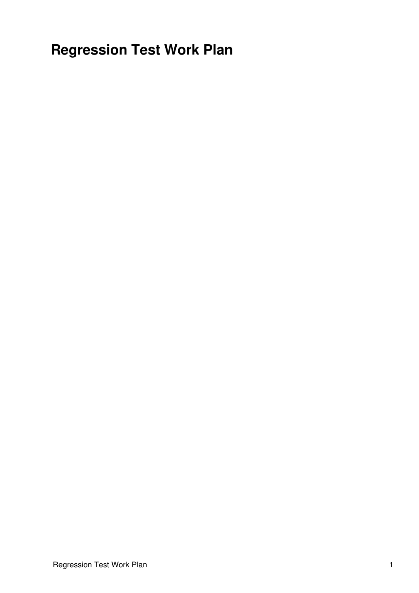<span id="page-6-0"></span>**Regression Test Work Plan**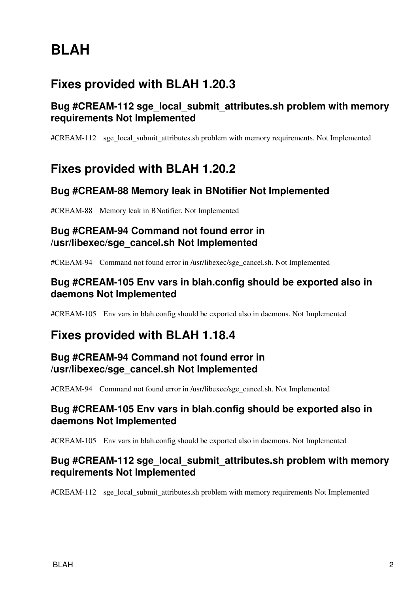# <span id="page-7-0"></span>**BLAH**

# <span id="page-7-1"></span>**Fixes provided with BLAH 1.20.3**

# <span id="page-7-2"></span>**Bug #CREAM-112 sge\_local\_submit\_attributes.sh problem with memory requirements Not Implemented**

[#CREAM-112](https://issues.infn.it/jira/browse/CREAM-112) sge\_local\_submit\_attributes.sh problem with memory requirements. Not Implemented

# <span id="page-7-3"></span>**Fixes provided with BLAH 1.20.2**

# <span id="page-7-4"></span>**Bug #CREAM-88 Memory leak in BNotifier Not Implemented**

[#CREAM-88](https://issues.infn.it/jira/browse/CREAM-88) Memory leak in BNotifier. Not Implemented

# <span id="page-7-5"></span>**Bug #CREAM-94 Command not found error in /usr/libexec/sge\_cancel.sh Not Implemented**

[#CREAM-94](https://issues.infn.it/jira/browse/CREAM-94) Command not found error in /usr/libexec/sge\_cancel.sh. Not Implemented

# <span id="page-7-6"></span>**Bug #CREAM-105 Env vars in blah.config should be exported also in daemons Not Implemented**

[#CREAM-105](https://issues.infn.it/jira/browse/CREAM-105) Env vars in blah.config should be exported also in daemons. Not Implemented

# <span id="page-7-7"></span>**Fixes provided with BLAH 1.18.4**

# <span id="page-7-8"></span>**Bug #CREAM-94 Command not found error in /usr/libexec/sge\_cancel.sh Not Implemented**

[#CREAM-94](https://issues.infn.it/jira/browse/CREAM-94?focusedCommentId=30094&page=com.atlassian.jira.plugin.system.issuetabpanels:comment-tabpanel#comment-30094) Command not found error in /usr/libexec/sge\_cancel.sh. Not Implemented

### <span id="page-7-9"></span>**Bug #CREAM-105 Env vars in blah.config should be exported also in daemons Not Implemented**

[#CREAM-105](https://issues.infn.it/jira/browse/CREAM-105?focusedCommentId=30100&page=com.atlassian.jira.plugin.system.issuetabpanels:comment-tabpanel#comment-30100) Env vars in blah.config should be exported also in daemons. Not Implemented

# <span id="page-7-10"></span>**Bug #CREAM-112 sge\_local\_submit\_attributes.sh problem with memory requirements Not Implemented**

[#CREAM-112](https://issues.infn.it/jira/browse/CREAM-112?focusedCommentId=37709&page=com.atlassian.jira.plugin.system.issuetabpanels:comment-tabpanel#comment-37709) sge\_local\_submit\_attributes.sh problem with memory requirements Not Implemented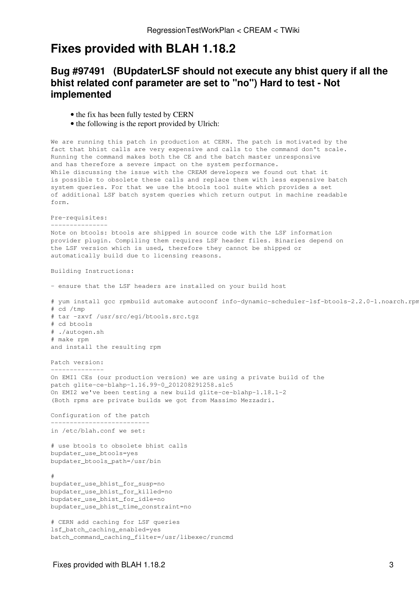# <span id="page-8-0"></span>**Fixes provided with BLAH 1.18.2**

# <span id="page-8-1"></span>**[Bug #97491](https://savannah.cern.ch/bugs/?97491) ([BUpdaterLSF](https://wiki-igi.cnaf.infn.it/twiki/bin/edit/CREAM/BUpdaterLSF?topicparent=CREAM.RegressionTestWorkPlan;nowysiwyg=0) should not execute any bhist query if all the bhist related conf parameter are set to "no") Hard to test - Not implemented**

- the fix has been fully tested by CERN
- the following is the report provided by Ulrich:

We are running this patch in production at CERN. The patch is motivated by the fact that bhist calls are very expensive and calls to the command don't scale. Running the command makes both the CE and the batch master unresponsive and has therefore a severe impact on the system performance. While discussing the issue with the CREAM developers we found out that it is possible to obsolete these calls and replace them with less expensive batch system queries. For that we use the btools tool suite which provides a set of additional LSF batch system queries which return output in machine readable form.

Pre-requisites: ---------------

Note on btools: btools are shipped in source code with the LSF information provider plugin. Compiling them requires LSF header files. Binaries depend on the LSF version which is used, therefore they cannot be shipped or automatically build due to licensing reasons.

Building Instructions:

- ensure that the LSF headers are installed on your build host

# yum install gcc rpmbuild automake autoconf info-dynamic-scheduler-lsf-btools-2.2.0-1.noarch.rpm # cd /tmp # tar -zxvf /usr/src/egi/btools.src.tgz # cd btools # ./autogen.sh # make rpm and install the resulting rpm

Patch version: --------------

On EMI1 CEs (our production version) we are using a private build of the patch glite-ce-blahp-1.16.99-0\_201208291258.slc5 On EMI2 we've been testing a new build glite-ce-blahp-1.18.1-2 (Both rpms are private builds we got from Massimo Mezzadri.

Configuration of the patch --------------------------

```
in /etc/blah.conf we set:
```
# use btools to obsolete bhist calls bupdater\_use\_btools=yes bupdater\_btools\_path=/usr/bin

# bupdater\_use\_bhist\_for\_susp=no bupdater\_use\_bhist\_for\_killed=no bupdater\_use\_bhist\_for\_idle=no bupdater\_use\_bhist\_time\_constraint=no

# CERN add caching for LSF queries lsf\_batch\_caching\_enabled=yes batch\_command\_caching\_filter=/usr/libexec/runcmd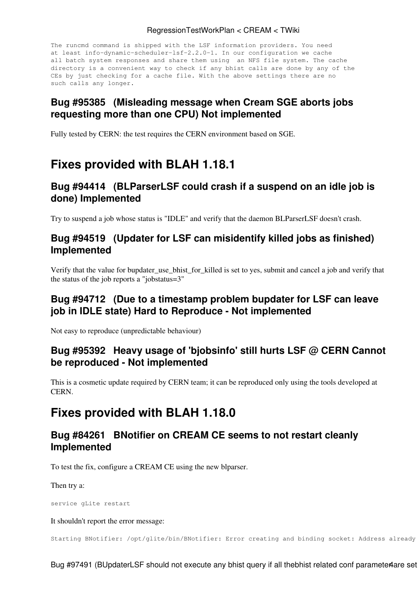#### RegressionTestWorkPlan < CREAM < TWiki

The runcmd command is shipped with the LSF information providers. You need at least info-dynamic-scheduler-lsf-2.2.0-1. In our configuration we cache all batch system responses and share them using an NFS file system. The cache directory is a convenient way to check if any bhist calls are done by any of the CEs by just checking for a cache file. With the above settings there are no such calls any longer.

# <span id="page-9-0"></span>**[Bug #95385](https://savannah.cern.ch/bugs/?95385) (Misleading message when Cream SGE aborts jobs requesting more than one CPU) Not implemented**

Fully tested by CERN: the test requires the CERN environment based on SGE.

# <span id="page-9-1"></span>**Fixes provided with BLAH 1.18.1**

# <span id="page-9-2"></span>**[Bug #94414](https://savannah.cern.ch/bugs/?94414) ([BLParserLSF](https://wiki-igi.cnaf.infn.it/twiki/bin/edit/CREAM/BLParserLSF?topicparent=CREAM.RegressionTestWorkPlan;nowysiwyg=0) could crash if a suspend on an idle job is done) Implemented**

Try to suspend a job whose status is "IDLE" and verify that the daemon BLParserLSF doesn't crash.

# <span id="page-9-3"></span>**[Bug #94519](https://savannah.cern.ch/bugs/?94519) (Updater for LSF can misidentify killed jobs as finished) Implemented**

Verify that the value for bupdater\_use\_bhist\_for\_killed is set to yes, submit and cancel a job and verify that the status of the job reports a "jobstatus=3"

# <span id="page-9-4"></span>**[Bug #94712](https://savannah.cern.ch/bugs/?94712) (Due to a timestamp problem bupdater for LSF can leave job in IDLE state) Hard to Reproduce - Not implemented**

Not easy to reproduce (unpredictable behaviour)

# <span id="page-9-5"></span>**[Bug #95392](https://savannah.cern.ch/bugs/?95392) Heavy usage of 'bjobsinfo' still hurts LSF @ CERN Cannot be reproduced - Not implemented**

This is a cosmetic update required by CERN team; it can be reproduced only using the tools developed at CERN.

# <span id="page-9-6"></span>**Fixes provided with BLAH 1.18.0**

# <span id="page-9-7"></span>**[Bug #84261](https://savannah.cern.ch/bugs/?84261) BNotifier on CREAM CE seems to not restart cleanly Implemented**

To test the fix, configure a CREAM CE using the new blparser.

Then try a:

service gLite restart

It shouldn't report the error message:

Starting BNotifier: /opt/glite/bin/BNotifier: Error creating and binding socket: Address already

Bug #97491 (BUpdaterLSF should not execute any bhist query if all thebhist related conf parameter are set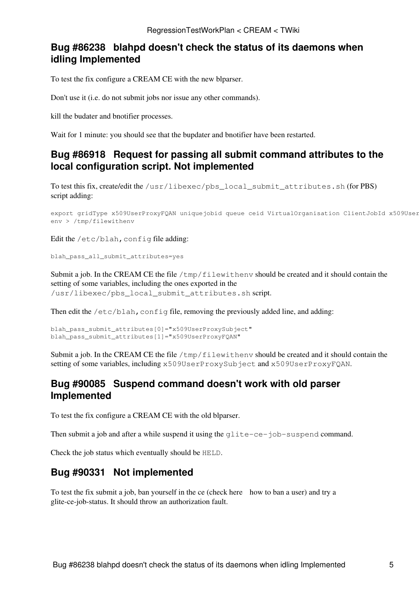# <span id="page-10-0"></span>**[Bug #86238](https://savannah.cern.ch/bugs/?86238) blahpd doesn't check the status of its daemons when idling Implemented**

To test the fix configure a CREAM CE with the new blparser.

Don't use it (i.e. do not submit jobs nor issue any other commands).

kill the budater and bnotifier processes.

Wait for 1 minute: you should see that the bupdater and bnotifier have been restarted.

# <span id="page-10-1"></span>**[Bug #86918](https://savannah.cern.ch/bugs/?86918) Request for passing all submit command attributes to the local configuration script. Not implemented**

To test this fix, create/edit the /usr/libexec/pbs\_local\_submit\_attributes.sh (for PBS) script adding:

```
export gridType x509UserProxyFOAN uniquejobid queue ceid VirtualOrganisation ClientJobId x509User
env > /tmp/filewithenv
```
Edit the /etc/blah, config file adding:

blah\_pass\_all\_submit\_attributes=yes

Submit a job. In the CREAM CE the file  $/\text{tmp/filewithenv}$  should be created and it should contain the setting of some variables, including the ones exported in the /usr/libexec/pbs\_local\_submit\_attributes.sh script.

Then edit the  $/etc/b$ lah, config file, removing the previously added line, and adding:

```
blah_pass_submit_attributes[0]="x509UserProxySubject"
blah_pass_submit_attributes[1]="x509UserProxyFQAN"
```
Submit a job. In the CREAM CE the file  $/\text{tmp/filewithenv}$  should be created and it should contain the setting of some variables, including x509UserProxySubject and x509UserProxyFQAN.

### <span id="page-10-2"></span>**[Bug #90085](https://savannah.cern.ch/bugs/?90085) Suspend command doesn't work with old parser Implemented**

To test the fix configure a CREAM CE with the old blparser.

Then submit a job and after a while suspend it using the glite-ce-job-suspend command.

Check the job status which eventually should be HELD.

# <span id="page-10-3"></span>**[Bug #90331](https://savannah.cern.ch/bugs/?90085) Not implemented**

To test the fix submit a job, ban yourself in the ce (check [here](https://wiki.italiangrid.it/twiki/bin/view/CREAM/ServiceReferenceCard#How_to_block_ban_a_user) how to ban a user) and try a glite-ce-job-status. It should throw an authorization fault.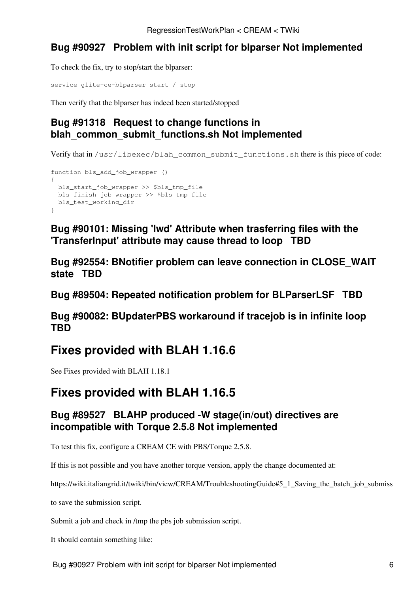# <span id="page-11-0"></span>**[Bug #90927](https://savannah.cern.ch/bugs/?90927) Problem with init script for blparser Not implemented**

To check the fix, try to stop/start the blparser:

```
service glite-ce-blparser start / stop
```
Then verify that the blparser has indeed been started/stopped

# <span id="page-11-1"></span>**[Bug #91318](https://savannah.cern.ch/bugs/?91318) Request to change functions in blah\_common\_submit\_functions.sh Not implemented**

Verify that in /usr/libexec/blah\_common\_submit\_functions.sh there is this piece of code:

```
function bls_add_job_wrapper ()
{
  bls_start_job_wrapper >> $bls_tmp_file
  bls_finish_job_wrapper >> $bls_tmp_file
  bls_test_working_dir
}
```
<span id="page-11-2"></span>**[Bug #90101: Missing 'Iwd' Attribute when trasferring files with the](https://savannah.cern.ch/bugs/?90101) ['TransferInput' attribute may cause thread to loop](https://savannah.cern.ch/bugs/?90101) TBD**

<span id="page-11-3"></span>**[Bug #92554: BNotifier problem can leave connection in CLOSE\\_WAIT](https://savannah.cern.ch/bugs/?92554) [state](https://savannah.cern.ch/bugs/?92554) TBD**

<span id="page-11-4"></span>**[Bug #89504: Repeated notification problem for BLParserLSF](https://savannah.cern.ch/bugs/?89504) TBD**

<span id="page-11-5"></span>**[Bug #90082: BUpdaterPBS workaround if tracejob is in infinite loop](https://savannah.cern.ch/bugs/?90082) TBD**

# <span id="page-11-6"></span>**Fixes provided with BLAH 1.16.6**

See Fixes provided with BLAH 1.18.1

# <span id="page-11-7"></span>**Fixes provided with BLAH 1.16.5**

# <span id="page-11-8"></span>**[Bug #89527](https://savannah.cern.ch/bugs/?89527) BLAHP produced -W stage(in/out) directives are incompatible with Torque 2.5.8 Not implemented**

To test this fix, configure a CREAM CE with PBS/Torque 2.5.8.

If this is not possible and you have another torque version, apply the change documented at:

[https://wiki.italiangrid.it/twiki/bin/view/CREAM/TroubleshootingGuide#5\\_1\\_Saving\\_the\\_batch\\_job\\_submiss](https://wiki.italiangrid.it/twiki/bin/view/CREAM/TroubleshootingGuide#5_1_Saving_the_batch_job_submiss)

to save the submission script.

Submit a job and check in /tmp the pbs job submission script.

It should contain something like: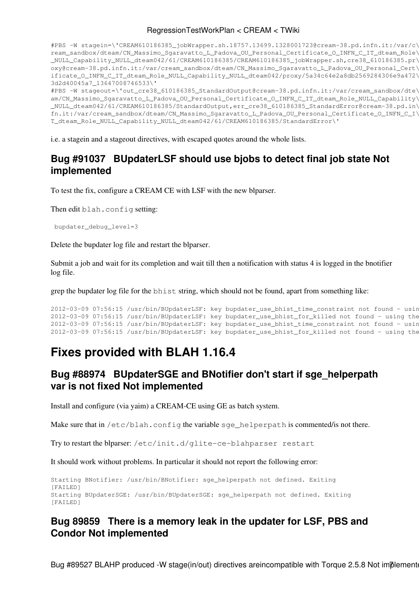#### RegressionTestWorkPlan < CREAM < TWiki

#PBS -W stagein=\'CREAM610186385\_jobWrapper.sh.18757.13699.1328001723@cream-38.pd.infn.it:/var/c\ ream\_sandbox/dteam/CN\_Massimo\_Sgaravatto\_L\_Padova\_OU\_Personal\_Certificate\_O\_INFN\_C\_IT\_dteam\_Role\ \_NULL\_Capability\_NULL\_dteam042/61/CREAM610186385/CREAM610186385\_jobWrapper.sh,cre38\_610186385.pr\ oxy@cream-38.pd.infn.it:/var/cream\_sandbox/dteam/CN\_Massimo\_Sgaravatto\_L\_Padova\_OU\_Personal\_Cert\ ificate\_O\_INFN\_C\_IT\_dteam\_Role\_NULL\_Capability\_NULL\_dteam042/proxy/5a34c64e2a8db2569284306e9a472\ 3d2d40045a7\_13647008746533\'

#PBS -W stageout=\'out cre38 610186385 StandardOutput@cream-38.pd.infn.it:/var/cream\_sandbox/dte\ am/CN\_Massimo\_Sgaravatto\_L\_Padova\_OU\_Personal\_Certificate\_O\_INFN\_C\_IT\_dteam\_Role\_NULL\_Capability\ \_NULL\_dteam042/61/CREAM610186385/StandardOutput,err\_cre38\_610186385\_StandardError@cream-38.pd.in\ fn.it:/var/cream\_sandbox/dteam/CN\_Massimo\_Sgaravatto\_L\_Padova\_OU\_Personal\_Certificate\_O\_INFN\_C\_I\ T\_dteam\_Role\_NULL\_Capability\_NULL\_dteam042/61/CREAM610186385/StandardError\'

i.e. a stagein and a stageout directives, with escaped quotes around the whole lists.

# <span id="page-12-0"></span>**[Bug #91037](https://savannah.cern.ch/bugs/?91037) [BUpdaterLSF](https://wiki-igi.cnaf.infn.it/twiki/bin/edit/CREAM/BUpdaterLSF?topicparent=CREAM.RegressionTestWorkPlan;nowysiwyg=0) should use bjobs to detect final job state Not implemented**

To test the fix, configure a CREAM CE with LSF with the new blparser.

Then edit blah.config setting:

```
 bupdater_debug_level=3
```
Delete the bupdater log file and restart the blparser.

Submit a job and wait for its completion and wait till then a notification with status 4 is logged in the bnotifier log file.

grep the bupdater log file for the bhist string, which should not be found, apart from something like:

```
2012-03-09 07:56:15 /usr/bin/BUpdaterLSF: key bupdater_use_bhist_time_constraint not found - usin
2012-03-09 07:56:15 /usr/bin/BUpdaterLSF: key bupdater_use_bhist_for_killed not found - using the
2012-03-09 07:56:15 /usr/bin/BUpdaterLSF: key bupdater_use_bhist_time_constraint not found - usin
2012-03-09 07:56:15 /usr/bin/BUpdaterLSF: key bupdater_use_bhist_for_killed not found - using the
```
# <span id="page-12-1"></span>**Fixes provided with BLAH 1.16.4**

# <span id="page-12-2"></span>**[Bug #88974](https://savannah.cern.ch/bugs/?88974) [BUpdaterSGE](https://wiki-igi.cnaf.infn.it/twiki/bin/edit/CREAM/BUpdaterSGE?topicparent=CREAM.RegressionTestWorkPlan;nowysiwyg=0) and BNotifier don't start if sge\_helperpath var is not fixed Not implemented**

Install and configure (via yaim) a CREAM-CE using GE as batch system.

Make sure that in /etc/blah.config the variable sge\_helperpath is commented/is not there.

Try to restart the blparser: /etc/init.d/glite-ce-blahparser restart

It should work without problems. In particular it should not report the following error:

```
Starting BNotifier: /usr/bin/BNotifier: sge_helperpath not defined. Exiting
[FAILED]
Starting BUpdaterSGE: /usr/bin/BUpdaterSGE: sge_helperpath not defined. Exiting
[FAILED]
```
# <span id="page-12-3"></span>**[Bug 89859](https://savannah.cern.ch/bugs/?89859) There is a memory leak in the updater for LSF, PBS and Condor Not implemented**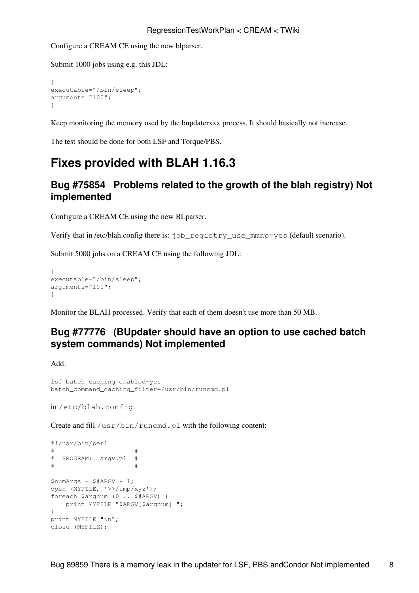Configure a CREAM CE using the new blparser.

Submit 1000 jobs using e.g. this JDL:

```
\sqrt{2}executable="/bin/sleep";
arguments="100";
]
```
Keep monitoring the memory used by the bupdaterxxx process. It should basically not increase.

The test should be done for both LSF and Torque/PBS.

# <span id="page-13-0"></span>**Fixes provided with BLAH 1.16.3**

### <span id="page-13-1"></span>**[Bug #75854](https://savannah.cern.ch/bugs/?75854) Problems related to the growth of the blah registry) Not implemented**

Configure a CREAM CE using the new BLparser.

Verify that in /etc/blah.config there is: job\_registry\_use\_mmap=yes (default scenario).

Submit 5000 jobs on a CREAM CE using the following JDL:

```
\sqrt{2}executable="/bin/sleep";
arguments="100";
]
```
Monitor the BLAH processed. Verify that each of them doesn't use more than 50 MB.

# <span id="page-13-2"></span>**[Bug #77776](https://savannah.cern.ch/bugs/?77776) (BUpdater should have an option to use cached batch system commands) Not implemented**

Add:

```
lsf_batch_caching_enabled=yes
batch_command_caching_filter=/usr/bin/runcmd.pl
```
in /etc/blah.config.

Create and fill /usr/bin/runcmd.pl with the following content:

```
#!/usr/bin/perl
#---------------------#
# PROGRAM: argv.pl #
#---------------------#
$numArgs = $#ARGV + 1;open (MYFILE, '>>/tmp/xyz');
foreach $argnum (0 .. $#ARGV) {
   print MYFILE "$ARGV[$argnum] ";
}
print MYFILE "\n";
close (MYFILE);
```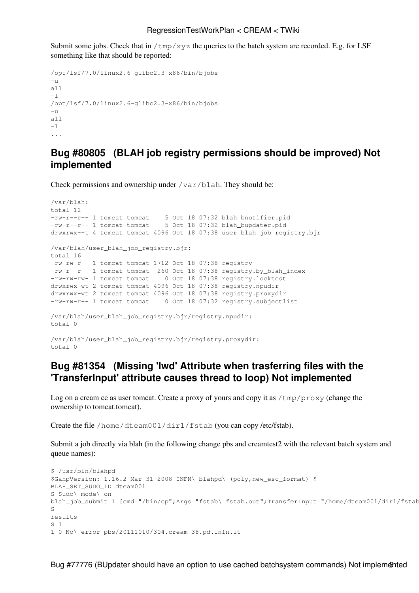Submit some jobs. Check that in  $/\text{tmp}/\text{xyz}$  the queries to the batch system are recorded. E.g. for LSF something like that should be reported:

```
/opt/lsf/7.0/linux2.6-glibc2.3-x86/bin/bjobs
-u
all
-1/opt/lsf/7.0/linux2.6-glibc2.3-x86/bin/bjobs
-11all
-l
...
```
### <span id="page-14-0"></span>**[Bug #80805](https://savannah.cern.ch/bugs/?80805) (BLAH job registry permissions should be improved) Not implemented**

Check permissions and ownership under /var/blah. They should be:

```
/var/blah:
total 12
-rw-r--r-- 1 tomcat tomcat 5 Oct 18 07:32 blah_bnotifier.pid
-rw-r--r-- 1 tomcat tomcat 5 Oct 18 07:32 blah_bupdater.pid
drwxrwx--t 4 tomcat tomcat 4096 Oct 18 07:38 user_blah_job_registry.bjr
/var/blah/user_blah_job_registry.bjr:
total 16
-rw-rw-r-- 1 tomcat tomcat 1712 Oct 18 07:38 registry
-rw-r--r-- 1 tomcat tomcat 260 Oct 18 07:38 registry.by_blah_index
-rw-rw-rw- 1 tomcat tomcat 0 Oct 18 07:38 registry.locktest
drwxrwx-wt 2 tomcat tomcat 4096 Oct 18 07:38 registry.npudir
drwxrwx-wt 2 tomcat tomcat 4096 Oct 18 07:38 registry.proxydir
-rw-rw-r-- 1 tomcat tomcat 0 Oct 18 07:32 registry.subjectlist
/var/blah/user_blah_job_registry.bjr/registry.npudir:
total 0
/var/blah/user_blah_job_registry.bjr/registry.proxydir:
total 0
```
### <span id="page-14-1"></span>**[Bug #81354](https://savannah.cern.ch/bugs/?81354) (Missing 'Iwd' Attribute when trasferring files with the 'TransferInput' attribute causes thread to loop) Not implemented**

Log on a cream ce as user tomcat. Create a proxy of yours and copy it as /tmp/proxy (change the ownership to tomcat.tomcat).

Create the file /home/dteam001/dir1/fstab (you can copy /etc/fstab).

Submit a job directly via blah (in the following change pbs and creamtest2 with the relevant batch system and queue names):

```
$ /usr/bin/blahpd
$GahpVersion: 1.16.2 Mar 31 2008 INFN\ blahpd\ (poly,new_esc_format) $
BLAH_SET_SUDO_ID dteam001
S Sudo\ mode\ on
blah_job_submit 1 [cmd="/bin/cp";Args="fstab\ fstab.out";TransferInput="/home/dteam001/dir1/fstab
\mathbf{C}results
S<sub>1</sub>1 0 No\ error pbs/20111010/304.cream-38.pd.infn.it
```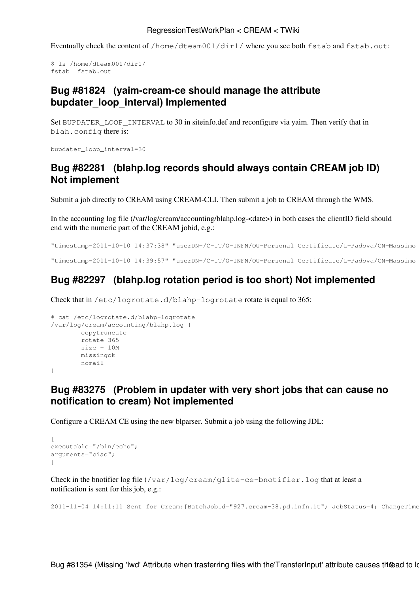Eventually check the content of /home/dteam001/dir1/ where you see both fstab and fstab.out:

```
$ ls /home/dteam001/dir1/
fstab fstab.out
```
### <span id="page-15-0"></span>**[Bug #81824](https://savannah.cern.ch/bugs/?81824) (yaim-cream-ce should manage the attribute bupdater\_loop\_interval) Implemented**

Set BUPDATER\_LOOP\_INTERVAL to 30 in siteinfo.def and reconfigure via yaim. Then verify that in blah.config there is:

bupdater\_loop\_interval=30

# <span id="page-15-1"></span>**[Bug #82281](https://savannah.cern.ch/bugs/?82281) (blahp.log records should always contain CREAM job ID) Not implement**

Submit a job directly to CREAM using CREAM-CLI. Then submit a job to CREAM through the WMS.

In the accounting log file (/var/log/cream/accounting/blahp.log-<date>) in both cases the clientID field should end with the numeric part of the CREAM jobid, e.g.:

```
"timestamp=2011-10-10 14:37:38" "userDN=/C=IT/O=INFN/OU=Personal Certificate/L=Padova/CN=Massimo
"timestamp=2011-10-10 14:39:57" "userDN=/C=IT/O=INFN/OU=Personal Certificate/L=Padova/CN=Massimo
```
# <span id="page-15-2"></span>**[Bug #82297](https://savannah.cern.ch/bugs/?82297) (blahp.log rotation period is too short) Not implemented**

Check that in /etc/logrotate.d/blahp-logrotate rotate is equal to 365:

```
# cat /etc/logrotate.d/blahp-logrotate
/var/log/cream/accounting/blahp.log {
        copytruncate
        rotate 365
        size = 10M missingok
        nomail
```

```
}
```
# <span id="page-15-3"></span>**[Bug #83275](https://savannah.cern.ch/bugs/?83275) (Problem in updater with very short jobs that can cause no notification to cream) Not implemented**

Configure a CREAM CE using the new blparser. Submit a job using the following JDL:

```
\sqrt{ }executable="/bin/echo";
arguments="ciao";
]
```
Check in the bnotifier log file  $(\sqrt{var}/log/c$ ream/glite-ce-bnotifier.log that at least a notification is sent for this job, e.g.:

2011-11-04 14:11:11 Sent for Cream: [BatchJobId="927.cream-38.pd.infn.it"; JobStatus=4; ChangeTime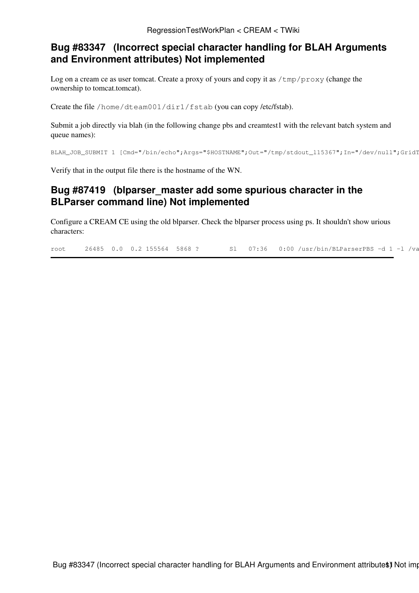# <span id="page-16-0"></span>**[Bug #83347](https://savannah.cern.ch/bugs/?83347) (Incorrect special character handling for BLAH Arguments and Environment attributes) Not implemented**

Log on a cream ce as user tomcat. Create a proxy of yours and copy it as /tmp/proxy (change the ownership to tomcat.tomcat).

Create the file /home/dteam001/dir1/fstab (you can copy /etc/fstab).

Submit a job directly via blah (in the following change pbs and creamtest1 with the relevant batch system and queue names):

```
BLAH_JOB_SUBMIT 1 [Cmd="/bin/echo";Args="$HOSTNAME";Out="/tmp/stdout_115367";In="/dev/null";GridT
```
Verify that in the output file there is the hostname of the WN.

### <span id="page-16-1"></span>**[Bug #87419](https://savannah.cern.ch/bugs/?87419) (blparser\_master add some spurious character in the BLParser command line) Not implemented**

Configure a CREAM CE using the old blparser. Check the blparser process using ps. It shouldn't show urious characters:

root 26485 0.0 0.2 155564 5868 ? Sl 07:36 0:00 /usr/bin/BLParserPBS -d 1 -1 /va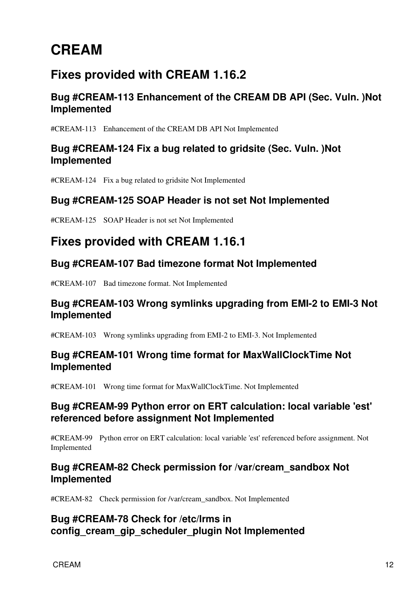# <span id="page-17-0"></span>**CREAM**

# <span id="page-17-1"></span>**Fixes provided with CREAM 1.16.2**

# <span id="page-17-2"></span>**Bug #CREAM-113 Enhancement of the CREAM DB API (Sec. Vuln. )Not Implemented**

[#CREAM-113](https://issues.infn.it/jira/browse/CREAM-113) Enhancement of the CREAM DB API Not Implemented

# <span id="page-17-3"></span>**Bug #CREAM-124 Fix a bug related to gridsite (Sec. Vuln. )Not Implemented**

[#CREAM-124](https://issues.infn.it/jira/browse/CREAM-124) Fix a bug related to gridsite Not Implemented

# <span id="page-17-4"></span>**Bug #CREAM-125 SOAP Header is not set Not Implemented**

[#CREAM-125](https://issues.infn.it/jira/browse/CREAM-125) SOAP Header is not set Not Implemented

# <span id="page-17-5"></span>**Fixes provided with CREAM 1.16.1**

# <span id="page-17-6"></span>**Bug #CREAM-107 Bad timezone format Not Implemented**

[#CREAM-107](https://issues.infn.it/jira/browse/CREAM-107?focusedCommentId=30102&page=com.atlassian.jira.plugin.system.issuetabpanels:comment-tabpanel#comment-30102) Bad timezone format. Not Implemented

# <span id="page-17-7"></span>**Bug #CREAM-103 Wrong symlinks upgrading from EMI-2 to EMI-3 Not Implemented**

[#CREAM-103](https://issues.infn.it/jira/browse/CREAM-103?focusedCommentId=30061&page=com.atlassian.jira.plugin.system.issuetabpanels:comment-tabpanel#comment-30061) Wrong symlinks upgrading from EMI-2 to EMI-3. Not Implemented

### <span id="page-17-8"></span>**Bug #CREAM-101 Wrong time format for [MaxWallClockTime](https://wiki-igi.cnaf.infn.it/twiki/bin/edit/CREAM/MaxWallClockTime?topicparent=CREAM.RegressionTestWorkPlan;nowysiwyg=0) Not Implemented**

[#CREAM-101](https://issues.infn.it/jira/browse/CREAM-101?focusedCommentId=29890&page=com.atlassian.jira.plugin.system.issuetabpanels:comment-tabpanel#comment-29890) Wrong time format for [MaxWallClockTime](https://wiki-igi.cnaf.infn.it/twiki/bin/edit/CREAM/MaxWallClockTime?topicparent=CREAM.RegressionTestWorkPlan;nowysiwyg=0). Not Implemented

# <span id="page-17-9"></span>**Bug #CREAM-99 Python error on ERT calculation: local variable 'est' referenced before assignment Not Implemented**

[#CREAM-99](https://issues.infn.it/jira/browse/CREAM-99?focusedCommentId=29889&page=com.atlassian.jira.plugin.system.issuetabpanels:comment-tabpanel#comment-29889) Python error on ERT calculation: local variable 'est' referenced before assignment. Not Implemented

# <span id="page-17-10"></span>**Bug #CREAM-82 Check permission for /var/cream\_sandbox Not Implemented**

[#CREAM-82](https://issues.infn.it/jira/browse/CREAM-82?focusedCommentId=29888&page=com.atlassian.jira.plugin.system.issuetabpanels:comment-tabpanel#comment-29888) Check permission for /var/cream\_sandbox. Not Implemented

# <span id="page-17-11"></span>**Bug #CREAM-78 Check for /etc/lrms in config\_cream\_gip\_scheduler\_plugin Not Implemented**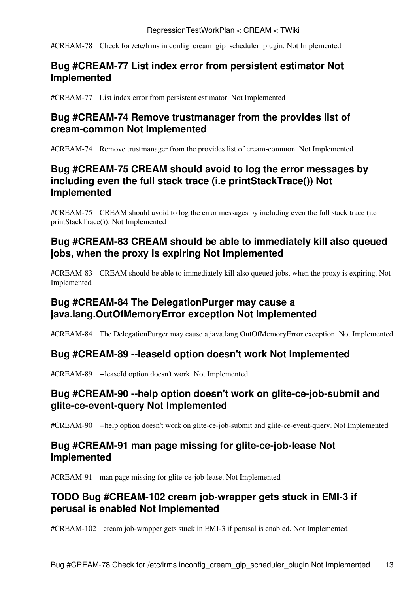[#CREAM-78](https://issues.infn.it/jira/browse/CREAM-78?focusedCommentId=30296&page=com.atlassian.jira.plugin.system.issuetabpanels:comment-tabpanel#comment-30296) Check for /etc/lrms in config\_cream\_gip\_scheduler\_plugin. Not Implemented

# <span id="page-18-0"></span>**Bug #CREAM-77 List index error from persistent estimator Not Implemented**

[#CREAM-77](https://issues.infn.it/jira/browse/CREAM-77?focusedCommentId=29891&page=com.atlassian.jira.plugin.system.issuetabpanels:comment-tabpanel#comment-29891) List index error from persistent estimator. Not Implemented

# <span id="page-18-1"></span>**Bug #CREAM-74 Remove trustmanager from the provides list of cream-common Not Implemented**

[#CREAM-74](https://issues.infn.it/jira/browse/CREAM-74?focusedCommentId=29887&page=com.atlassian.jira.plugin.system.issuetabpanels:comment-tabpanel#comment-29887) Remove trustmanager from the provides list of cream-common. Not Implemented

# <span id="page-18-2"></span>**Bug #CREAM-75 CREAM should avoid to log the error messages by including even the full stack trace (i.e printStackTrace()) Not Implemented**

[#CREAM-75](https://issues.infn.it/jira/browse/CREAM-75) CREAM should avoid to log the error messages by including even the full stack trace (i.e printStackTrace()). Not Implemented

# <span id="page-18-3"></span>**Bug #CREAM-83 CREAM should be able to immediately kill also queued jobs, when the proxy is expiring Not Implemented**

[#CREAM-83](https://issues.infn.it/jira/browse/CREAM-83) CREAM should be able to immediately kill also queued jobs, when the proxy is expiring. Not Implemented

# <span id="page-18-4"></span>**Bug #CREAM-84 The [DelegationPurger](https://wiki-igi.cnaf.infn.it/twiki/bin/edit/CREAM/DelegationPurger?topicparent=CREAM.RegressionTestWorkPlan;nowysiwyg=0) may cause a java.lang.OutOfMemoryError exception Not Implemented**

[#CREAM-84](https://issues.infn.it/jira/browse/CREAM-84) The [DelegationPurger](https://wiki-igi.cnaf.infn.it/twiki/bin/edit/CREAM/DelegationPurger?topicparent=CREAM.RegressionTestWorkPlan;nowysiwyg=0) may cause a java.lang.OutOfMemoryError exception. Not Implemented

# <span id="page-18-5"></span>**Bug #CREAM-89 --leaseId option doesn't work Not Implemented**

[#CREAM-89](https://issues.infn.it/jira/browse/CREAM-89) --leaseId option doesn't work. Not Implemented

# <span id="page-18-6"></span>**Bug #CREAM-90 --help option doesn't work on glite-ce-job-submit and glite-ce-event-query Not Implemented**

[#CREAM-90](https://issues.infn.it/jira/browse/CREAM-90) --help option doesn't work on glite-ce-job-submit and glite-ce-event-query. Not Implemented

# <span id="page-18-7"></span>**Bug #CREAM-91 man page missing for glite-ce-job-lease Not Implemented**

[#CREAM-91](https://issues.infn.it/jira/browse/CREAM-91) man page missing for glite-ce-job-lease. Not Implemented

# <span id="page-18-8"></span>**TODO Bug #CREAM-102 cream job-wrapper gets stuck in EMI-3 if perusal is enabled Not Implemented**

[#CREAM-102](https://issues.infn.it/jira/browse/CREAM-102) cream job-wrapper gets stuck in EMI-3 if perusal is enabled. Not Implemented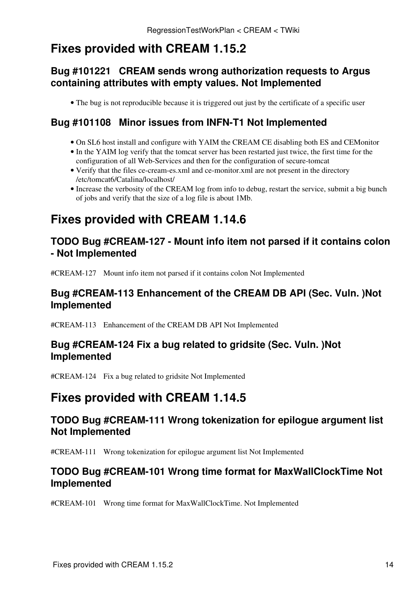# <span id="page-19-0"></span>**Fixes provided with CREAM 1.15.2**

# <span id="page-19-1"></span>**[Bug #101221](https://savannah.cern.ch/bugs/?101221) CREAM sends wrong authorization requests to Argus containing attributes with empty values. Not Implemented**

• The bug is not reproducible because it is triggered out just by the certificate of a specific user

# <span id="page-19-2"></span>**[Bug #101108](https://savannah.cern.ch/bugs/?101108) Minor issues from INFN-T1 Not Implemented**

- On SL6 host install and configure with YAIM the CREAM CE disabling both ES and CEMonitor
- In the YAIM log verify that the tomcat server has been restarted just twice, the first time for the configuration of all Web-Services and then for the configuration of secure-tomcat
- Verify that the files ce-cream-es.xml and ce-monitor.xml are not present in the directory /etc/tomcat6/Catalina/localhost/
- Increase the verbosity of the CREAM log from info to debug, restart the service, submit a big bunch of jobs and verify that the size of a log file is about 1Mb.

# <span id="page-19-3"></span>**Fixes provided with CREAM 1.14.6**

# <span id="page-19-4"></span>**TODO Bug #CREAM-127 - Mount info item not parsed if it contains colon - Not Implemented**

[#CREAM-127](https://issues.infn.it/jira/browse/CREAM-127) Mount info item not parsed if it contains colon Not Implemented

# <span id="page-19-5"></span>**Bug #CREAM-113 Enhancement of the CREAM DB API (Sec. Vuln. )Not Implemented**

[#CREAM-113](https://issues.infn.it/jira/browse/CREAM-113) Enhancement of the CREAM DB API Not Implemented

# <span id="page-19-6"></span>**Bug #CREAM-124 Fix a bug related to gridsite (Sec. Vuln. )Not Implemented**

[#CREAM-124](https://issues.infn.it/jira/browse/CREAM-124) Fix a bug related to gridsite Not Implemented

# <span id="page-19-7"></span>**Fixes provided with CREAM 1.14.5**

# <span id="page-19-8"></span>**TODO Bug #CREAM-111 Wrong tokenization for epilogue argument list Not Implemented**

[#CREAM-111](https://issues.infn.it/jira/browse/CREAM-111?focusedCommentId=37705&page=com.atlassian.jira.plugin.system.issuetabpanels:comment-tabpanel#comment-37705) Wrong tokenization for epilogue argument list Not Implemented

# <span id="page-19-9"></span>**TODO Bug #CREAM-101 Wrong time format for [MaxWallClockTime](https://wiki-igi.cnaf.infn.it/twiki/bin/edit/CREAM/MaxWallClockTime?topicparent=CREAM.RegressionTestWorkPlan;nowysiwyg=0) Not Implemented**

[#CREAM-101](https://issues.infn.it/jira/browse/CREAM-101?focusedCommentId=29890&page=com.atlassian.jira.plugin.system.issuetabpanels:comment-tabpanel#comment-29890) Wrong time format for [MaxWallClockTime](https://wiki-igi.cnaf.infn.it/twiki/bin/edit/CREAM/MaxWallClockTime?topicparent=CREAM.RegressionTestWorkPlan;nowysiwyg=0). Not Implemented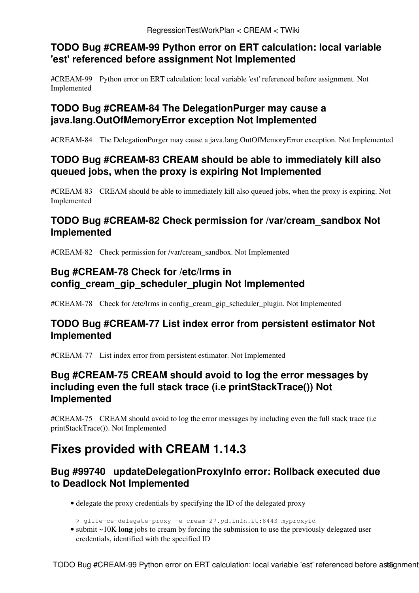# <span id="page-20-0"></span>**TODO Bug #CREAM-99 Python error on ERT calculation: local variable 'est' referenced before assignment Not Implemented**

[#CREAM-99](https://issues.infn.it/jira/browse/CREAM-99?focusedCommentId=29889&page=com.atlassian.jira.plugin.system.issuetabpanels:comment-tabpanel#comment-29889) Python error on ERT calculation: local variable 'est' referenced before assignment. Not Implemented

# <span id="page-20-1"></span>**TODO Bug #CREAM-84 The [DelegationPurger](https://wiki-igi.cnaf.infn.it/twiki/bin/edit/CREAM/DelegationPurger?topicparent=CREAM.RegressionTestWorkPlan;nowysiwyg=0) may cause a java.lang.OutOfMemoryError exception Not Implemented**

[#CREAM-84](https://issues.infn.it/jira/browse/CREAM-84) The [DelegationPurger](https://wiki-igi.cnaf.infn.it/twiki/bin/edit/CREAM/DelegationPurger?topicparent=CREAM.RegressionTestWorkPlan;nowysiwyg=0) may cause a java.lang.OutOfMemoryError exception. Not Implemented

# <span id="page-20-2"></span>**TODO Bug #CREAM-83 CREAM should be able to immediately kill also queued jobs, when the proxy is expiring Not Implemented**

[#CREAM-83](https://issues.infn.it/jira/browse/CREAM-83) CREAM should be able to immediately kill also queued jobs, when the proxy is expiring. Not Implemented

# <span id="page-20-3"></span>**TODO Bug #CREAM-82 Check permission for /var/cream\_sandbox Not Implemented**

[#CREAM-82](https://issues.infn.it/jira/browse/CREAM-82?focusedCommentId=29888&page=com.atlassian.jira.plugin.system.issuetabpanels:comment-tabpanel#comment-29888) Check permission for /var/cream\_sandbox. Not Implemented

# <span id="page-20-4"></span>**Bug #CREAM-78 Check for /etc/lrms in config\_cream\_gip\_scheduler\_plugin Not Implemented**

[#CREAM-78](https://issues.infn.it/jira/browse/CREAM-78?focusedCommentId=30296&page=com.atlassian.jira.plugin.system.issuetabpanels:comment-tabpanel#comment-30296) Check for /etc/lrms in config\_cream\_gip\_scheduler\_plugin. Not Implemented

# <span id="page-20-5"></span>**TODO Bug #CREAM-77 List index error from persistent estimator Not Implemented**

[#CREAM-77](https://issues.infn.it/jira/browse/CREAM-77?focusedCommentId=29891&page=com.atlassian.jira.plugin.system.issuetabpanels:comment-tabpanel#comment-29891) List index error from persistent estimator. Not Implemented

# <span id="page-20-6"></span>**Bug #CREAM-75 CREAM should avoid to log the error messages by including even the full stack trace (i.e printStackTrace()) Not Implemented**

[#CREAM-75](https://issues.infn.it/jira/browse/CREAM-75) CREAM should avoid to log the error messages by including even the full stack trace (i.e printStackTrace()). Not Implemented

# <span id="page-20-7"></span>**Fixes provided with CREAM 1.14.3**

# <span id="page-20-8"></span>**[Bug #99740](https://savannah.cern.ch/bugs/?99740) updateDelegationProxyInfo error: Rollback executed due to Deadlock Not Implemented**

- delegate the proxy credentials by specifying the ID of the delegated proxy
- > glite-ce-delegate-proxy -e cream-27.pd.infn.it:8443 myproxyid
- submit ~10K long jobs to cream by forcing the submission to use the previously delegated user credentials, identified with the specified ID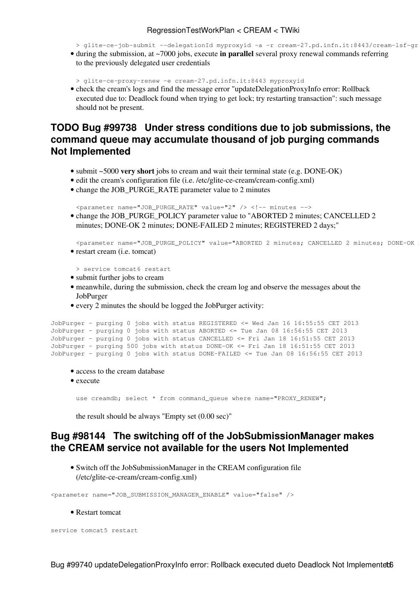> glite-ce-job-submit --delegationId myproxyid -a -r cream-27.pd.infn.it:8443/cream-lsf-gr

• during the submission, at ~7000 jobs, execute in parallel several proxy renewal commands referring to the previously delegated user credentials

> glite-ce-proxy-renew -e cream-27.pd.infn.it:8443 myproxyid

• check the cream's logs and find the message error "updateDelegationProxyInfo error: Rollback executed due to: Deadlock found when trying to get lock; try restarting transaction": such message should not be present.

# <span id="page-21-0"></span>**TODO [Bug #99738](https://savannah.cern.ch/bugs/?99738) Under stress conditions due to job submissions, the command queue may accumulate thousand of job purging commands Not Implemented**

- submit ~5000 **very short** jobs to cream and wait their terminal state (e.g. DONE-OK)
- edit the cream's configuration file (i.e. /etc/glite-ce-cream/cream-config.xml)
- change the JOB\_PURGE\_RATE parameter value to 2 minutes

```
<parameter name="JOB_PURGE_RATE" value="2" /> <!-- minutes -->
```
• change the JOB\_PURGE\_POLICY parameter value to "ABORTED 2 minutes; CANCELLED 2 minutes; DONE-OK 2 minutes; DONE-FAILED 2 minutes; REGISTERED 2 days;"

```
<parameter name="JOB_PURGE_POLICY" value="ABORTED 2 minutes; CANCELLED 2 minutes; DONE-OK
• restart cream (i.e. tomcat)
```

```
> service tomcat6 restart
```
- submit further jobs to cream
- meanwhile, during the submission, check the cream log and observe the messages about the [JobPurger](https://wiki-igi.cnaf.infn.it/twiki/bin/edit/CREAM/JobPurger?topicparent=CREAM.RegressionTestWorkPlan;nowysiwyg=0)
- every 2 minutes the should be logged the [JobPurger](https://wiki-igi.cnaf.infn.it/twiki/bin/edit/CREAM/JobPurger?topicparent=CREAM.RegressionTestWorkPlan;nowysiwyg=0) activity:

```
JobPurger - purging 0 jobs with status REGISTERED <= Wed Jan 16 16:55:55 CET 2013
JobPurger - purging 0 jobs with status ABORTED <= Tue Jan 08 16:56:55 CET 2013
JobPurger - purging 0 jobs with status CANCELLED <= Fri Jan 18 16:51:55 CET 2013
JobPurger - purging 500 jobs with status DONE-OK <= Fri Jan 18 16:51:55 CET 2013
JobPurger - purging 0 jobs with status DONE-FAILED <= Tue Jan 08 16:56:55 CET 2013
```
- access to the cream database
- execute

use creamdb; select \* from command\_queue where name="PROXY\_RENEW";

the result should be always "Empty set (0.00 sec)"

### <span id="page-21-1"></span>**[Bug #98144](https://savannah.cern.ch/bugs/?98144) The switching off of the [JobSubmissionManager](https://wiki-igi.cnaf.infn.it/twiki/bin/edit/CREAM/JobSubmissionManager?topicparent=CREAM.RegressionTestWorkPlan;nowysiwyg=0) makes the CREAM service not available for the users Not Implemented**

• Switch off the [JobSubmissionManager](https://wiki-igi.cnaf.infn.it/twiki/bin/edit/CREAM/JobSubmissionManager?topicparent=CREAM.RegressionTestWorkPlan;nowysiwyg=0) in the CREAM configuration file (/etc/glite-ce-cream/cream-config.xml)

<parameter name="JOB\_SUBMISSION\_MANAGER\_ENABLE" value="false" />

#### • Restart tomcat

service tomcat5 restart

Bug #99740 updateDelegationProxyInfo error: Rollback executed dueto Deadlock Not Implementet6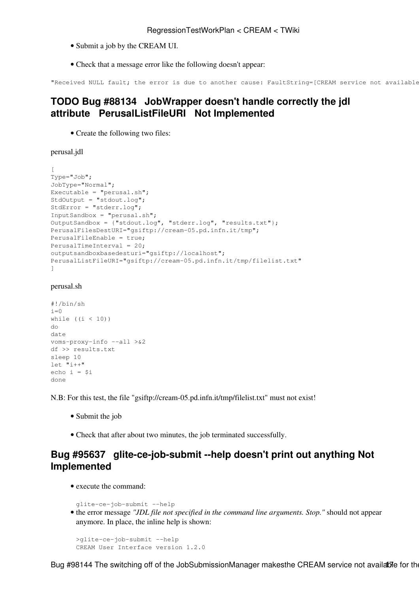- Submit a job by the CREAM UI.
- Check that a message error like the following doesn't appear:

```
"Received NULL fault; the error is due to another cause: FaultString=[CREAM service not available
```
# <span id="page-22-0"></span>**TODO [Bug #88134](https://savannah.cern.ch/bugs/?88134) [JobWrapper](https://wiki-igi.cnaf.infn.it/twiki/bin/edit/CREAM/JobWrapper?topicparent=CREAM.RegressionTestWorkPlan;nowysiwyg=0) doesn't handle correctly the jdl attribute PerusalListFileURI Not Implemented**

• Create the following two files:

perusal.jdl

```
[
Type="Job";
JobType="Normal";
Executable = "perusal.sh";
StdOutput = "stdout.log";
StdError = "stderr.log";
InputSandbox = "perusal.sh";
OutputSandbox = {"stdout.log", "stderr.log", "results.txt"};
PerusalFilesDestURI="gsiftp://cream-05.pd.infn.it/tmp";
PerusalFileEnable = true;
PerusalTimeInterval = 20;
outputsandboxbasedesturi="gsiftp://localhost";
PerusalListFileURI="gsiftp://cream-05.pd.infn.it/tmp/filelist.txt"
]
```
#### perusal.sh

```
#!/bin/sh
i=0while ((i < 10))do
date
voms-proxy-info --all >&2
df >> results.txt
sleep 10
let "i++"
echo i = $i
done
```
N.B: For this test, the file "gsiftp://cream-05.pd.infn.it/tmp/filelist.txt" must not exist!

- Submit the job
- Check that after about two minutes, the job terminated successfully.

# <span id="page-22-1"></span>**[Bug #95637](https://savannah.cern.ch/bugs/?95637) glite-ce-job-submit --help doesn't print out anything Not Implemented**

• execute the command:

```
glite-ce-job-submit --help
```
• the error message "JDL file not specified in the command line arguments. Stop." should not appear anymore. In place, the inline help is shown:

```
>glite-ce-job-submit --help
CREAM User Interface version 1.2.0
```
Bug #98144 The switching off of the JobSubmissionManager makesthe CREAM service not available for the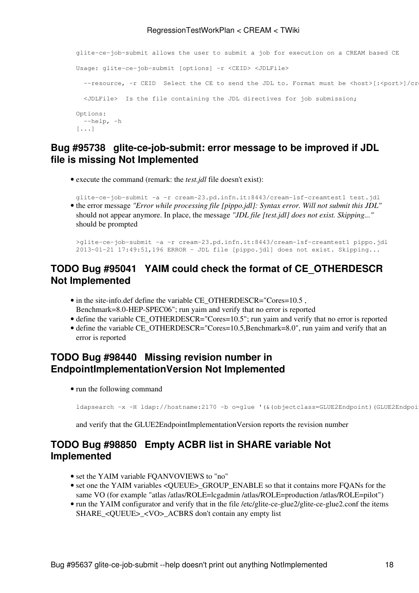```
glite-ce-job-submit allows the user to submit a job for execution on a CREAM based CE
Usage: glite-ce-job-submit [options] -r <CEID> <JDLFile>
  --resource, -r CEID Select the CE to send the JDL to. Format must be <host>[:<port>]/cr
  <JDLFile> Is the file containing the JDL directives for job submission;
Options:
  --help, -h 
[...]
```
# <span id="page-23-0"></span>**[Bug #95738](https://savannah.cern.ch/bugs/?95738) glite-ce-job-submit: error message to be improved if JDL file is missing Not Implemented**

• execute the command (remark: the *test.jdl* file doesn't exist):

glite-ce-job-submit -a -r cream-23.pd.infn.it:8443/cream-lsf-creamtest1 test.jdl • the error message "Error while processing file [pippo.jdl]: Syntax error. Will not submit this JDL" should not appear anymore. In place, the message *"JDL file [test.jdl] does not exist. Skipping..."* should be prompted

>glite-ce-job-submit -a -r cream-23.pd.infn.it:8443/cream-lsf-creamtest1 pippo.jdl 2013-01-21 17:49:51,196 ERROR - JDL file [pippo.jdl] does not exist. Skipping...

### <span id="page-23-1"></span>**TODO [Bug #95041](https://savannah.cern.ch/bugs/?95041) YAIM could check the format of CE\_OTHERDESCR Not Implemented**

- in the site-info.def define the variable CE\_OTHERDESCR="Cores=10.5, Benchmark=8.0-HEP-SPEC06"; run yaim and verify that no error is reported
- define the variable CE\_OTHERDESCR="Cores=10.5"; run yaim and verify that no error is reported
- define the variable CE\_OTHERDESCR="Cores=10.5,Benchmark=8.0", run yaim and verify that an error is reported

# <span id="page-23-2"></span>**TODO [Bug #98440](https://savannah.cern.ch/bugs/?98440) Missing revision number in [EndpointImplementationVersion](https://wiki-igi.cnaf.infn.it/twiki/bin/edit/CREAM/EndpointImplementationVersion?topicparent=CREAM.RegressionTestWorkPlan;nowysiwyg=0) Not Implemented**

• run the following command

ldapsearch -x -H ldap://hostname:2170 -b o=glue '(&(objectclass=GLUE2Endpoint)(GLUE2Endpoi

and verify that the GLUE2EndpointImplementationVersion reports the revision number

# <span id="page-23-3"></span>**TODO [Bug #98850](https://savannah.cern.ch/bugs/?98850) Empty ACBR list in SHARE variable Not Implemented**

- set the YAIM variable FQANVOVIEWS to "no"
- set one the YAIM variables < QUEUE >\_GROUP\_ENABLE so that it contains more FQANs for the same VO (for example "atlas /atlas/ROLE=lcgadmin /atlas/ROLE=production /atlas/ROLE=pilot")
- run the YAIM configurator and verify that in the file /etc/glite-ce-glue2/glite-ce-glue2.conf the items SHARE < OUEUE > < VO > ACBRS don't contain any empty list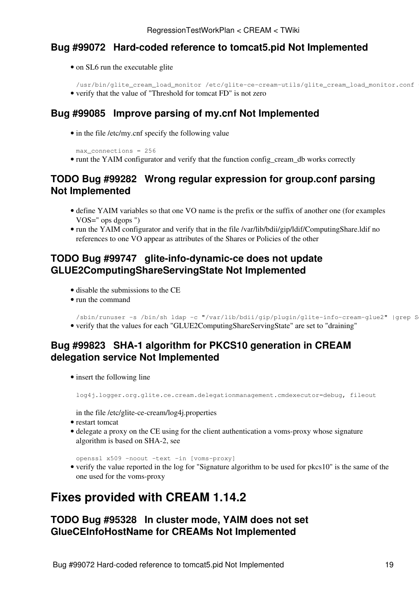# <span id="page-24-0"></span>**[Bug #99072](https://savannah.cern.ch/bugs/?99072) Hard-coded reference to tomcat5.pid Not Implemented**

- on SL6 run the executable glite
- /usr/bin/glite\_cream\_load\_monitor /etc/glite-ce-cream-utils/glite\_cream\_load\_monitor.conf
- verify that the value of "Threshold for tomcat FD" is not zero

# <span id="page-24-1"></span>**[Bug #99085](https://savannah.cern.ch/bugs/?99085) Improve parsing of my.cnf Not Implemented**

• in the file /etc/my.cnf specify the following value

```
max_connections = 256
```
• runt the YAIM configurator and verify that the function config\_cream\_db works correctly

# <span id="page-24-2"></span>**TODO [Bug #99282](https://savannah.cern.ch/bugs/?99282) Wrong regular expression for group.conf parsing Not Implemented**

- define YAIM variables so that one VO name is the prefix or the suffix of another one (for examples VOS=" ops dgops ")
- run the YAIM configurator and verify that in the file /var/lib/bdii/gip/ldif/ComputingShare.ldif no references to one VO appear as attributes of the Shares or Policies of the other

# <span id="page-24-3"></span>**TODO [Bug #99747](https://savannah.cern.ch/bugs/?99747) glite-info-dynamic-ce does not update GLUE2ComputingShareServingState Not Implemented**

- disable the submissions to the CE
- run the command

```
/sbin/runuser -s /bin/sh ldap -c "/var/lib/bdii/gip/plugin/glite-info-cream-glue2" |grep S
• verify that the values for each "GLUE2ComputingShareServingState" are set to "draining"
```
# <span id="page-24-4"></span>**[Bug #99823](https://savannah.cern.ch/bugs/?99823) SHA-1 algorithm for PKCS10 generation in CREAM delegation service Not Implemented**

• insert the following line

log4j.logger.org.glite.ce.cream.delegationmanagement.cmdexecutor=debug, fileout

in the file /etc/glite-ce-cream/log4j.properties

- restart tomcat
- delegate a proxy on the CE using for the client authentication a voms-proxy whose signature algorithm is based on SHA-2, see

openssl x509 -noout -text -in [voms-proxy]

• verify the value reported in the log for "Signature algorithm to be used for pkcs10" is the same of the one used for the voms-proxy

# <span id="page-24-5"></span>**Fixes provided with CREAM 1.14.2**

# <span id="page-24-6"></span>**TODO [Bug #95328](https://savannah.cern.ch/bugs/?95328) In cluster mode, YAIM does not set GlueCEInfoHostName for CREAMs Not Implemented**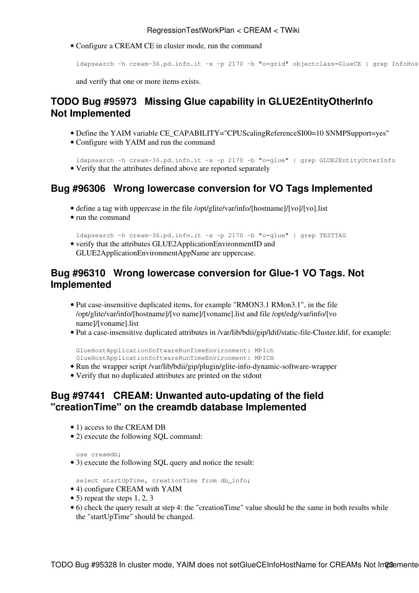Configure a CREAM CE in cluster mode, run the command •

```
ldapsearch -h cream-36.pd.infn.it -x -p 2170 -b "o=grid" objectclass=GlueCE | grep InfoHos
```
and verify that one or more items exists.

# <span id="page-25-0"></span>**TODO [Bug #95973](https://savannah.cern.ch/bugs/?95973) Missing Glue capability in GLUE2EntityOtherInfo Not Implemented**

- Define the YAIM variable CE\_CAPABILITY="CPUScalingReferenceSI00=10 SNMPSupport=yes"
- Configure with YAIM and run the command •

ldapsearch -h cream-36.pd.infn.it -x -p 2170 -b "o=glue" | grep GLUE2EntityOtherInfo • Verify that the attributes defined above are reported separately

# <span id="page-25-1"></span>**[Bug #96306](https://savannah.cern.ch/bugs/?96306) Wrong lowercase conversion for VO Tags Implemented**

- define a tag with uppercase in the file /opt/glite/var/info/[hostname]/[vo]/[vo].list
- run the command

ldapsearch -h cream-36.pd.infn.it -x -p 2170 -b "o=glue" | grep TESTTAG • verify that the attributes GLUE2ApplicationEnvironmentID and GLUE2ApplicationEnvironmentAppName are uppercase.

# <span id="page-25-2"></span>**[Bug #96310](https://savannah.cern.ch/bugs/?96310) Wrong lowercase conversion for Glue-1 VO Tags. Not Implemented**

- Put case-insensitive duplicated items, for example "RMON3.1 RMon3.1", in the file /opt/glite/var/info/[hostname]/[vo name]/[voname].list and file /opt/edg/var/info/[vo name]/[voname].list
- Put a case-insensitive duplicated attributes in /var/lib/bdii/gip/ldif/static-file-Cluster.ldif, for example:

```
GlueHostApplicationSoftwareRunTimeEnvironment: MPIch
GlueHostApplicationSoftwareRunTimeEnvironment: MPICH
```
- Run the wrapper script /var/lib/bdii/gip/plugin/glite-info-dynamic-software-wrapper
- Verify that no duplicated attributes are printed on the stdout

# <span id="page-25-3"></span>**[Bug #97441](https://savannah.cern.ch/bugs/?97441) CREAM: Unwanted auto-updating of the field "creationTime" on the creamdb database Implemented**

- 1) access to the CREAM DB
- 2) execute the following SQL command:

```
use creamdb;
```
• 3) execute the following SQL query and notice the result:

select startUpTime, creationTime from db\_info;

- 4) configure CREAM with YAIM
- 5) repeat the steps 1, 2, 3
- 6) check the query result at step 4: the "creationTime" value should be the same in both results while the "startUpTime" should be changed.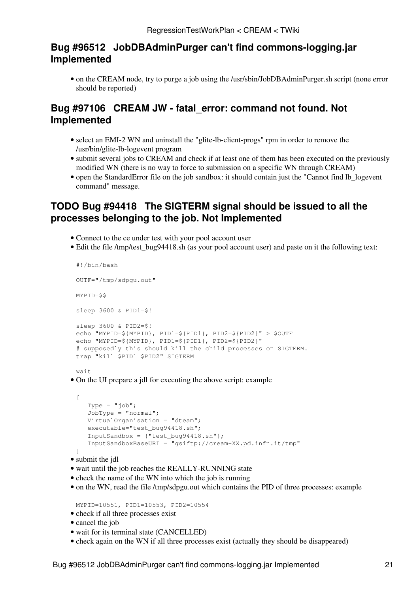# <span id="page-26-0"></span>**[Bug #96512](https://savannah.cern.ch/bugs/?96512) [JobDBAdminPurger](https://wiki-igi.cnaf.infn.it/twiki/bin/edit/CREAM/JobDBAdminPurger?topicparent=CREAM.RegressionTestWorkPlan;nowysiwyg=0) can't find commons-logging.jar Implemented**

• on the CREAM node, try to purge a job using the /usr/sbin/JobDBAdminPurger.sh script (none error should be reported)

# <span id="page-26-1"></span>**[Bug #97106](https://savannah.cern.ch/bugs/?97106) CREAM JW - fatal\_error: command not found. Not Implemented**

- select an EMI-2 WN and uninstall the "glite-lb-client-progs" rpm in order to remove the /usr/bin/glite-lb-logevent program
- submit several jobs to CREAM and check if at least one of them has been executed on the previously modified WN (there is no way to force to submission on a specific WN through CREAM)
- open the [StandardError](https://wiki-igi.cnaf.infn.it/twiki/bin/edit/CREAM/StandardError?topicparent=CREAM.RegressionTestWorkPlan;nowysiwyg=0) file on the job sandbox: it should contain just the "Cannot find lb\_logevent command" message.

# <span id="page-26-2"></span>**TODO [Bug #94418](https://savannah.cern.ch/bugs/?94418) The SIGTERM signal should be issued to all the processes belonging to the job. Not Implemented**

- Connect to the ce under test with your pool account user
- Edit the file /tmp/test\_bug94418.sh (as your pool account user) and paste on it the following text:

```
#!/bin/bash 
OUTF="/tmp/sdpgu.out" 
MYPID=$$
sleep 3600 & PID1=$!
sleep 3600 & PID2=$!
echo "MYPID=${MYPID}, PID1=${PID1}, PID2=${PID2}" > $OUTF
echo "MYPID=${MYPID}, PID1=${PID1}, PID2=${PID2}"
# supposedly this should kill the child processes on SIGTERM.
trap "kill $PID1 $PID2" SIGTERM
```

```
wait
```
• On the UI prepare a jdl for executing the above script: example

```
\lceilType = "\mathrm{i}ob";
   JobType = "normal";VirtualOrganisation = "dteam";
    executable="test_bug94418.sh";
    InputSandbox = {"test_bug94418.sh"};
    InputSandboxBaseURI = "gsiftp://cream-XX.pd.infn.it/tmp"
]
```
- submit the jdl
- wait until the job reaches the REALLY-RUNNING state
- check the name of the WN into which the job is running
- on the WN, read the file /tmp/sdpgu.out which contains the PID of three processes: example

MYPID=10551, PID1=10553, PID2=10554

- check if all three processes exist
- cancel the job
- wait for its terminal state (CANCELLED)
- check again on the WN if all three processes exist (actually they should be disappeared)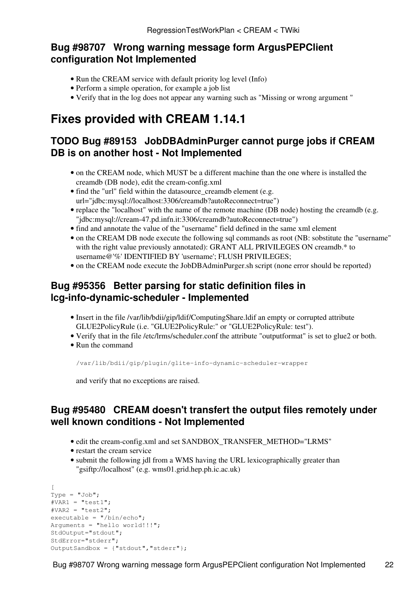# <span id="page-27-0"></span>**[Bug #98707](https://savannah.cern.ch/bugs/?98707) Wrong warning message form ArgusPEPClient configuration Not Implemented**

- Run the CREAM service with default priority log level (Info)
- Perform a simple operation, for example a job list
- Verify that in the log does not appear any warning such as "Missing or wrong argument "

# <span id="page-27-1"></span>**Fixes provided with CREAM 1.14.1**

# <span id="page-27-2"></span>**TODO [Bug #89153](https://savannah.cern.ch/bugs/?89153) [JobDBAdminPurger](https://wiki-igi.cnaf.infn.it/twiki/bin/edit/CREAM/JobDBAdminPurger?topicparent=CREAM.RegressionTestWorkPlan;nowysiwyg=0) cannot purge jobs if CREAM DB is on another host - Not Implemented**

- on the CREAM node, which MUST be a different machine than the one where is installed the creamdb (DB node), edit the cream-config.xml
- find the "url" field within the datasource\_creamdb element (e.g. url="jdbc:mysql://localhost:3306/creamdb?autoReconnect=true")
- replace the "localhost" with the name of the remote machine (DB node) hosting the creamdb (e.g. "jdbc:mysql://cream-47.pd.infn.it:3306/creamdb?autoReconnect=true")
- find and annotate the value of the "username" field defined in the same xml element
- on the CREAM DB node execute the following sql commands as root (NB: sobstitute the "username" with the right value previously annotated): GRANT ALL PRIVILEGES ON creamdb.\* to username@'%' IDENTIFIED BY 'username'; FLUSH PRIVILEGES;
- on the CREAM node execute the [JobDBAdminPurger.](https://wiki-igi.cnaf.infn.it/twiki/bin/edit/CREAM/JobDBAdminPurger?topicparent=CREAM.RegressionTestWorkPlan;nowysiwyg=0)sh script (none error should be reported)

# <span id="page-27-3"></span>**[Bug #95356](https://savannah.cern.ch/bugs/?95356) Better parsing for static definition files in lcg-info-dynamic-scheduler - Implemented**

- Insert in the file /var/lib/bdii/gip/ldif/ComputingShare.ldif an empty or corrupted attribute GLUE2PolicyRule (i.e. "GLUE2PolicyRule:" or "GLUE2PolicyRule: test").
- Verify that in the file /etc/lrms/scheduler.conf the attribute "outputformat" is set to glue2 or both.
- Run the command

/var/lib/bdii/gip/plugin/glite-info-dynamic-scheduler-wrapper

and verify that no exceptions are raised.

# <span id="page-27-4"></span>**[Bug #95480](https://savannah.cern.ch/bugs/?95480) CREAM doesn't transfert the output files remotely under well known conditions - Not Implemented**

- edit the cream-config.xml and set SANDBOX\_TRANSFER\_METHOD="LRMS"
- restart the cream service
- submit the following jdl from a WMS having the URL lexicographically greater than "gsiftp://localhost" (e.g. wms01.grid.hep.ph.ic.ac.uk)

```
\sqrt{2}Type = "Job";#VARI = "test1";\texttt{\#VAR2} = \texttt{"test2";}executable = "/bin/echo";
Arguments = "hello world!!!";
StdOutput="stdout";
StdError="stderr";
OutputSandbox = {"stdout","stderr"};
```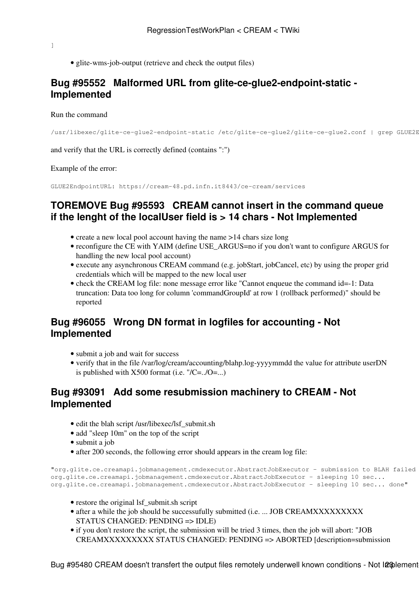- ]
- glite-wms-job-output (retrieve and check the output files)

# <span id="page-28-0"></span>**[Bug #95552](https://savannah.cern.ch/bugs/?95552) Malformed URL from glite-ce-glue2-endpoint-static - Implemented**

#### Run the command

```
/usr/libexec/glite-ce-glue2-endpoint-static /etc/glite-ce-glue2/glite-ce-glue2.conf | grep GLUE2E
```
and verify that the URL is correctly defined (contains ":")

Example of the error:

GLUE2EndpointURL: https://cream-48.pd.infn.it8443/ce-cream/services

# <span id="page-28-1"></span>**TOREMOVE [Bug #95593](https://savannah.cern.ch/bugs/?95593) CREAM cannot insert in the command queue if the lenght of the localUser field is > 14 chars - Not Implemented**

- create a new local pool account having the name >14 chars size long
- reconfigure the CE with YAIM (define USE\_ARGUS=no if you don't want to configure ARGUS for handling the new local pool account)
- execute any asynchronous CREAM command (e.g. jobStart, jobCancel, etc) by using the proper grid credentials which will be mapped to the new local user
- check the CREAM log file: none message error like "Cannot enqueue the command id=-1: Data truncation: Data too long for column 'commandGroupId' at row 1 (rollback performed)" should be reported

# <span id="page-28-2"></span>**[Bug #96055](https://savannah.cern.ch/bugs/?96055) Wrong DN format in logfiles for accounting - Not Implemented**

- submit a job and wait for success
- verify that in the file /var/log/cream/accounting/blahp.log-yyyymmdd the value for attribute userDN is published with  $X500$  format (i.e. "/C=../O=...)

### <span id="page-28-3"></span>**[Bug #93091](https://savannah.cern.ch/bugs/?93091) Add some resubmission machinery to CREAM - Not Implemented**

- edit the blah script /usr/libexec/lsf\_submit.sh
- add "sleep 10m" on the top of the script
- submit a job
- after 200 seconds, the following error should appears in the cream log file:

```
"org.glite.ce.creamapi.jobmanagement.cmdexecutor.AbstractJobExecutor - submission to BLAH failed
org.glite.ce.creamapi.jobmanagement.cmdexecutor.AbstractJobExecutor - sleeping 10 sec...
org.glite.ce.creamapi.jobmanagement.cmdexecutor.AbstractJobExecutor - sleeping 10 sec... done"
```
- restore the original lsf\_submit.sh script
- after a while the job should be successufully submitted (i.e. ... JOB CREAMXXXXXXXXXX STATUS CHANGED: PENDING => IDLE)
- if you don't restore the script, the submission will be tried 3 times, then the job will abort: "JOB CREAMXXXXXXXXX STATUS CHANGED: PENDING => ABORTED [description=submission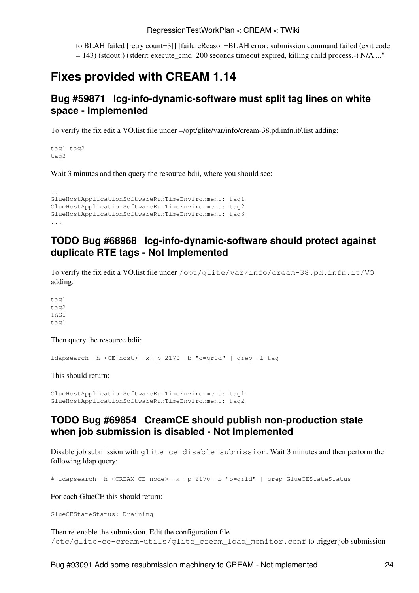to BLAH failed [retry count=3]] [failureReason=BLAH error: submission command failed (exit code = 143) (stdout:) (stderr: execute\_cmd: 200 seconds timeout expired, killing child process.-) N/A ..."

# <span id="page-29-0"></span>**Fixes provided with CREAM 1.14**

### <span id="page-29-1"></span>**[Bug #59871](https://savannah.cern.ch/bugs/?59871) lcg-info-dynamic-software must split tag lines on white space - Implemented**

To verify the fix edit a VO.list file under =/opt/glite/var/info/cream-38.pd.infn.it/.list adding:

tag1 tag2 tag3

Wait 3 minutes and then query the resource bdii, where you should see:

```
...
GlueHostApplicationSoftwareRunTimeEnvironment: tag1
GlueHostApplicationSoftwareRunTimeEnvironment: tag2
GlueHostApplicationSoftwareRunTimeEnvironment: tag3
...
```
### <span id="page-29-2"></span>**TODO [Bug #68968](https://savannah.cern.ch/bugs/?68968) lcg-info-dynamic-software should protect against duplicate RTE tags - Not Implemented**

To verify the fix edit a VO.list file under /opt/glite/var/info/cream-38.pd.infn.it/VO adding:

tag1 tag2 TAG1 tag1

Then query the resource bdii:

ldapsearch -h <CE host> -x -p 2170 -b "o=grid" | grep -i tag

This should return:

```
GlueHostApplicationSoftwareRunTimeEnvironment: tag1
GlueHostApplicationSoftwareRunTimeEnvironment: tag2
```
### <span id="page-29-3"></span>**TODO [Bug #69854](https://savannah.cern.ch/bugs/?69854) [CreamCE](https://wiki-igi.cnaf.infn.it/twiki/bin/edit/CREAM/CreamCE?topicparent=CREAM.RegressionTestWorkPlan;nowysiwyg=0) should publish non-production state when job submission is disabled - Not Implemented**

Disable job submission with glite-ce-disable-submission. Wait 3 minutes and then perform the following ldap query:

# ldapsearch -h <CREAM CE node> -x -p 2170 -b "o=grid" | grep GlueCEStateStatus

For each [GlueCE](https://wiki-igi.cnaf.infn.it/twiki/bin/edit/CREAM/GlueCE?topicparent=CREAM.RegressionTestWorkPlan;nowysiwyg=0) this should return:

```
GlueCEStateStatus: Draining
```
Then re-enable the submission. Edit the configuration file /etc/glite-ce-cream-utils/glite\_cream\_load\_monitor.conf to trigger job submission

Bug #93091 Add some resubmission machinery to CREAM - NotImplemented 24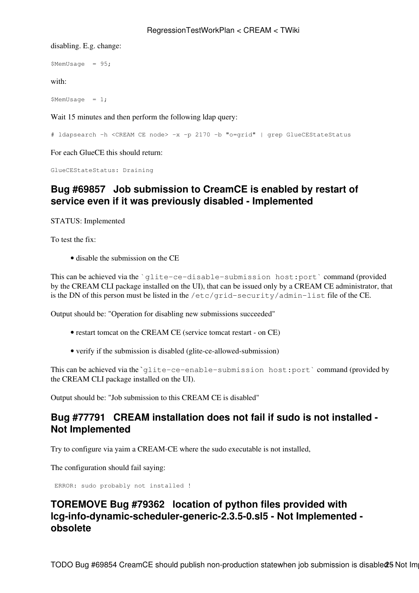disabling. E.g. change:

\$MemUsage = 95;

with:

\$MemUsage = 1;

Wait 15 minutes and then perform the following ldap query:

# ldapsearch -h <CREAM CE node> -x -p 2170 -b "o=grid" | grep GlueCEStateStatus

For each [GlueCE](https://wiki-igi.cnaf.infn.it/twiki/bin/edit/CREAM/GlueCE?topicparent=CREAM.RegressionTestWorkPlan;nowysiwyg=0) this should return:

GlueCEStateStatus: Draining

### <span id="page-30-0"></span>**[Bug #69857](http://savannah.cern.ch/bugs/?69857) Job submission to [CreamCE](https://wiki-igi.cnaf.infn.it/twiki/bin/edit/CREAM/CreamCE?topicparent=CREAM.RegressionTestWorkPlan;nowysiwyg=0) is enabled by restart of service even if it was previously disabled - Implemented**

STATUS: Implemented

To test the fix:

• disable the submission on the CE

This can be achieved via the `glite-ce-disable-submission host:port` command (provided by the CREAM CLI package installed on the UI), that can be issued only by a CREAM CE administrator, that is the DN of this person must be listed in the /etc/grid-security/admin-list file of the CE.

Output should be: "Operation for disabling new submissions succeeded"

- restart tomcat on the CREAM CE (service tomcat restart on CE)
- verify if the submission is disabled (glite-ce-allowed-submission)

This can be achieved via the `glite-ce-enable-submission host:port` command (provided by the CREAM CLI package installed on the UI).

Output should be: "Job submission to this CREAM CE is disabled"

### <span id="page-30-1"></span>**[Bug #77791](https://savannah.cern.ch/bugs/?77791) CREAM installation does not fail if sudo is not installed - Not Implemented**

Try to configure via yaim a CREAM-CE where the sudo executable is not installed,

The configuration should fail saying:

ERROR: sudo probably not installed !

# <span id="page-30-2"></span>**TOREMOVE [Bug #79362](https://savannah.cern.ch/bugs/?79362) location of python files provided with lcg-info-dynamic-scheduler-generic-2.3.5-0.sl5 - Not Implemented obsolete**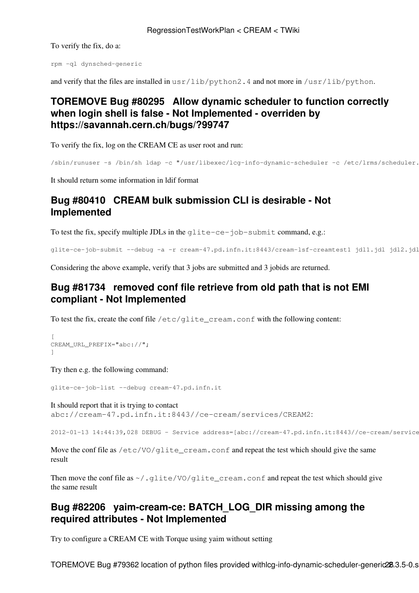To verify the fix, do a:

rpm -ql dynsched-generic

and verify that the files are installed in usr/lib/python2.4 and not more in /usr/lib/python.

# <span id="page-31-0"></span>**TOREMOVE [Bug #80295](https://savannah.cern.ch/bugs/?80295) Allow dynamic scheduler to function correctly when login shell is false - Not Implemented - overriden by <https://savannah.cern.ch/bugs/?99747>**

To verify the fix, log on the CREAM CE as user root and run:

```
/sbin/runuser -s /bin/sh ldap -c "/usr/libexec/lcg-info-dynamic-scheduler -c /etc/lrms/scheduler.
```
It should return some information in ldif format

# <span id="page-31-1"></span>**[Bug #80410](https://savannah.cern.ch/bugs/?80410) CREAM bulk submission CLI is desirable - Not Implemented**

To test the fix, specify multiple JDLs in the glite-ce-job-submit command, e.g.:

glite-ce-job-submit --debug -a -r cream-47.pd.infn.it:8443/cream-lsf-creamtest1 jdl1.jdl jdl2.jdl jdl3.jdl

Considering the above example, verify that 3 jobs are submitted and 3 jobids are returned.

# <span id="page-31-2"></span>**[Bug #81734](https://savannah.cern.ch/bugs/?81734) removed conf file retrieve from old path that is not EMI compliant - Not Implemented**

To test the fix, create the conf file /etc/glite\_cream.conf with the following content:

```
[
CREAM_URL_PREFIX="abc://";
]
```
Try then e.g. the following command:

glite-ce-job-list --debug cream-47.pd.infn.it

It should report that it is trying to contact abc://cream-47.pd.infn.it:8443//ce-cream/services/CREAM2:

2012-01-13 14:44:39,028 DEBUG - Service address=[abc://cream-47.pd.infn.it:8443//ce-cream/service

Move the conf file as /etc/VO/glite\_cream.conf and repeat the test which should give the same result

Then move the conf file as  $\sim$ /.glite/VO/glite\_cream.conf and repeat the test which should give the same result

# <span id="page-31-3"></span>**[Bug #82206](https://savannah.cern.ch/bugs/?82206) yaim-cream-ce: BATCH\_LOG\_DIR missing among the required attributes - Not Implemented**

Try to configure a CREAM CE with Torque using yaim without setting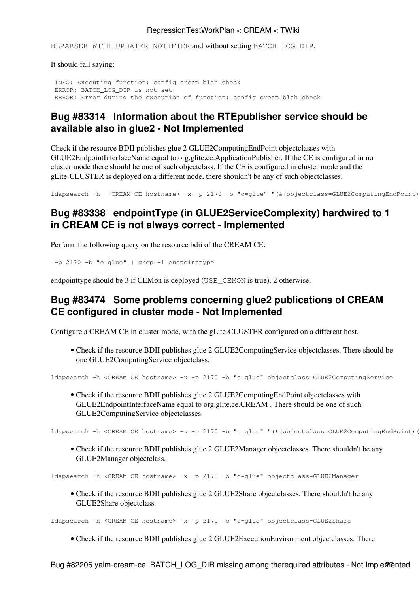#### RegressionTestWorkPlan < CREAM < TWiki

BLPARSER\_WITH\_UPDATER\_NOTIFIER and without setting BATCH\_LOG\_DIR.

It should fail saying:

```
 INFO: Executing function: config_cream_blah_check 
 ERROR: BATCH_LOG_DIR is not set
 ERROR: Error during the execution of function: config_cream_blah_check
```
# <span id="page-32-0"></span>**[Bug #83314](https://savannah.cern.ch/bugs/?83314) Information about the RTEpublisher service should be available also in glue2 - Not Implemented**

Check if the resource BDII publishes glue 2 [GLUE2ComputingEndPoint](https://wiki-igi.cnaf.infn.it/twiki/bin/edit/CREAM/GLUE2ComputingEndPoint?topicparent=CREAM.RegressionTestWorkPlan;nowysiwyg=0) objectclasses with [GLUE2EndpointInterfaceName](https://wiki-igi.cnaf.infn.it/twiki/bin/edit/CREAM/GLUE2EndpointInterfaceName?topicparent=CREAM.RegressionTestWorkPlan;nowysiwyg=0) equal to org.glite.ce.ApplicationPublisher. If the CE is configured in no cluster mode there should be one of such objectclass. If the CE is configured in cluster mode and the gLite-CLUSTER is deployed on a different node, there shouldn't be any of such objectclasses.

ldapsearch -h <CREAM CE hostname> -x -p 2170 -b "o=qlue" "(&(objectclass=GLUE2ComputingEndPoint)

# <span id="page-32-1"></span>**[Bug #83338](https://savannah.cern.ch/bugs/?83338) endpointType (in [GLUE2ServiceComplexity\)](https://wiki-igi.cnaf.infn.it/twiki/bin/edit/CREAM/GLUE2ServiceComplexity?topicparent=CREAM.RegressionTestWorkPlan;nowysiwyg=0) hardwired to 1 in CREAM CE is not always correct - Implemented**

Perform the following query on the resource bdii of the CREAM CE:

-p 2170 -b "o=glue" | grep -i endpointtype

endpointtype should be 3 if CEMon is deployed (USE CEMON is true). 2 otherwise.

### <span id="page-32-2"></span>**[Bug #83474](https://savannah.cern.ch/bugs/?83474) Some problems concerning glue2 publications of CREAM CE configured in cluster mode - Not Implemented**

Configure a CREAM CE in cluster mode, with the gLite-CLUSTER configured on a different host.

• Check if the resource BDII publishes glue 2 [GLUE2ComputingService](https://wiki-igi.cnaf.infn.it/twiki/bin/edit/CREAM/GLUE2ComputingService?topicparent=CREAM.RegressionTestWorkPlan;nowysiwyg=0) objectclasses. There should be one [GLUE2ComputingService](https://wiki-igi.cnaf.infn.it/twiki/bin/edit/CREAM/GLUE2ComputingService?topicparent=CREAM.RegressionTestWorkPlan;nowysiwyg=0) objectclass:

ldapsearch -h <CREAM CE hostname> -x -p 2170 -b "o=glue" objectclass=GLUE2ComputingService

• Check if the resource BDII publishes glue 2 [GLUE2ComputingEndPoint](https://wiki-igi.cnaf.infn.it/twiki/bin/edit/CREAM/GLUE2ComputingEndPoint?topicparent=CREAM.RegressionTestWorkPlan;nowysiwyg=0) objectclasses with [GLUE2EndpointInterfaceName](https://wiki-igi.cnaf.infn.it/twiki/bin/edit/CREAM/GLUE2EndpointInterfaceName?topicparent=CREAM.RegressionTestWorkPlan;nowysiwyg=0) equal to org.glite.ce.CREAM . There should be one of such [GLUE2ComputingService](https://wiki-igi.cnaf.infn.it/twiki/bin/edit/CREAM/GLUE2ComputingService?topicparent=CREAM.RegressionTestWorkPlan;nowysiwyg=0) objectclasses:

ldapsearch -h <CREAM CE hostname> -x -p 2170 -b "o=glue" "(&(objectclass=GLUE2ComputingEndPoint) (

• Check if the resource BDII publishes glue 2 [GLUE2Manager](https://wiki-igi.cnaf.infn.it/twiki/bin/edit/CREAM/GLUE2Manager?topicparent=CREAM.RegressionTestWorkPlan;nowysiwyg=0) objectclasses. There shouldn't be any [GLUE2Manager](https://wiki-igi.cnaf.infn.it/twiki/bin/edit/CREAM/GLUE2Manager?topicparent=CREAM.RegressionTestWorkPlan;nowysiwyg=0) objectclass.

ldapsearch -h <CREAM CE hostname> -x -p 2170 -b "o=glue" objectclass=GLUE2Manager

• Check if the resource BDII publishes glue 2 [GLUE2Share](https://wiki-igi.cnaf.infn.it/twiki/bin/edit/CREAM/GLUE2Share?topicparent=CREAM.RegressionTestWorkPlan;nowysiwyg=0) objectclasses. There shouldn't be any [GLUE2Share](https://wiki-igi.cnaf.infn.it/twiki/bin/edit/CREAM/GLUE2Share?topicparent=CREAM.RegressionTestWorkPlan;nowysiwyg=0) objectclass.

ldapsearch -h <CREAM CE hostname> -x -p 2170 -b "o=glue" objectclass=GLUE2Share

• Check if the resource BDII publishes glue 2 [GLUE2ExecutionEnvironment](https://wiki-igi.cnaf.infn.it/twiki/bin/edit/CREAM/GLUE2ExecutionEnvironment?topicparent=CREAM.RegressionTestWorkPlan;nowysiwyg=0) objectclasses. There

Bug #82206 yaim-cream-ce: BATCH\_LOG\_DIR missing among therequired attributes - Not Imple@nanted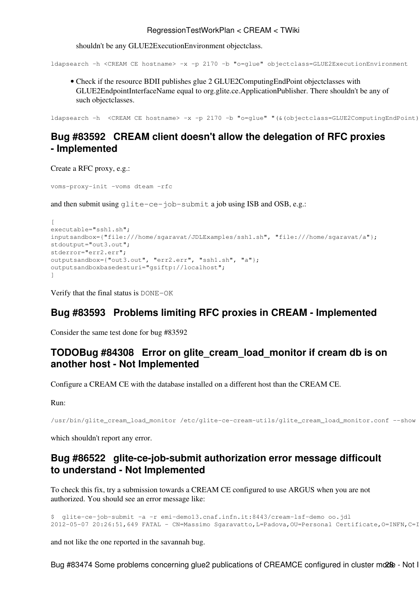#### RegressionTestWorkPlan < CREAM < TWiki

shouldn't be any [GLUE2ExecutionEnvironment](https://wiki-igi.cnaf.infn.it/twiki/bin/edit/CREAM/GLUE2ExecutionEnvironment?topicparent=CREAM.RegressionTestWorkPlan;nowysiwyg=0) objectclass.

ldapsearch -h <CREAM CE hostname> -x -p 2170 -b "o=glue" objectclass=GLUE2ExecutionEnvironment

• Check if the resource BDII publishes glue 2 [GLUE2ComputingEndPoint](https://wiki-igi.cnaf.infn.it/twiki/bin/edit/CREAM/GLUE2ComputingEndPoint?topicparent=CREAM.RegressionTestWorkPlan;nowysiwyg=0) objectclasses with [GLUE2EndpointInterfaceName](https://wiki-igi.cnaf.infn.it/twiki/bin/edit/CREAM/GLUE2EndpointInterfaceName?topicparent=CREAM.RegressionTestWorkPlan;nowysiwyg=0) equal to org.glite.ce.ApplicationPublisher. There shouldn't be any of such objectclasses.

ldapsearch -h <CREAM CE hostname> -x -p 2170 -b "o=glue" "(&(objectclass=GLUE2ComputingEndPoint)

# <span id="page-33-0"></span>**[Bug #83592](https://savannah.cern.ch/bugs/index.php?83592) CREAM client doesn't allow the delegation of RFC proxies - Implemented**

Create a RFC proxy, e.g.:

voms-proxy-init -voms dteam -rfc

and then submit using glite-ce-job-submit a job using ISB and OSB, e.g.:

```
\lceilexecutable="ssh1.sh";
inputsandbox={"file:///home/sgaravat/JDLExamples/ssh1.sh", "file:///home/sgaravat/a"};
stdoutput="out3.out";
stderror="err2.err";
outputsandbox={"out3.out", "err2.err", "ssh1.sh", "a"};
outputsandboxbasedesturi="gsiftp://localhost";
]
```
Verify that the final status is DONE-OK

### <span id="page-33-1"></span>**[Bug #83593](https://savannah.cern.ch/bugs/index.php?83593) Problems limiting RFC proxies in CREAM - Implemented**

Consider the same test done for bug #83592

### <span id="page-33-2"></span>**TOD[OBug #84308](https://savannah.cern.ch/bugs/?84308) Error on glite\_cream\_load\_monitor if cream db is on another host - Not Implemented**

Configure a CREAM CE with the database installed on a different host than the CREAM CE.

Run:

/usr/bin/glite\_cream\_load\_monitor /etc/glite-ce-cream-utils/glite\_cream\_load\_monitor.conf --show

which shouldn't report any error.

### <span id="page-33-3"></span>**[Bug #86522](https://savannah.cern.ch/bugs/?86522) glite-ce-job-submit authorization error message difficoult to understand - Not Implemented**

To check this fix, try a submission towards a CREAM CE configured to use ARGUS when you are not authorized. You should see an error message like:

\$ glite-ce-job-submit -a -r emi-demo13.cnaf.infn.it:8443/cream-lsf-demo oo.jdl 2012-05-07 20:26:51,649 FATAL - CN=Massimo Sgaravatto,L=Padova,OU=Personal Certificate,O=INFN,C=I

and not like the one reported in the savannah bug.

Bug #83474 Some problems concerning glue2 publications of CREAMCE configured in cluster mode - Not I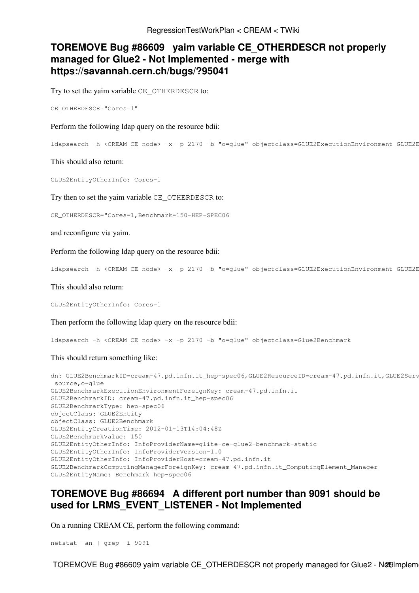# <span id="page-34-0"></span>**TOREMOVE [Bug #86609](https://savannah.cern.ch/bugs/?86609) yaim variable CE\_OTHERDESCR not properly managed for Glue2 - Not Implemented - merge with <https://savannah.cern.ch/bugs/?95041>**

Try to set the yaim variable CE\_OTHERDESCR to:

CE\_OTHERDESCR="Cores=1"

Perform the following ldap query on the resource bdii:

ldapsearch -h <CREAM CE node> -x -p 2170 -b "o=qlue" objectclass=GLUE2ExecutionEnvironment GLUE2E

This should also return:

GLUE2EntityOtherInfo: Cores=1

Try then to set the yaim variable CE\_OTHERDESCR to:

CE\_OTHERDESCR="Cores=1,Benchmark=150-HEP-SPEC06

and reconfigure via yaim.

Perform the following ldap query on the resource bdii:

ldapsearch -h <CREAM CE node> -x -p 2170 -b "o=qlue" objectclass=GLUE2ExecutionEnvironment GLUE2E

This should also return:

GLUE2EntityOtherInfo: Cores=1

Then perform the following ldap query on the resource bdii:

ldapsearch -h <CREAM CE node> -x -p 2170 -b "o=glue" objectclass=Glue2Benchmark

This should return something like:

```
dn: GLUE2BenchmarkID=cream-47.pd.infn.it hep-spec06,GLUE2ResourceID=cream-47.pd.infn.it,GLUE2Serv
 source,o=glue
GLUE2BenchmarkExecutionEnvironmentForeignKey: cream-47.pd.infn.it
GLUE2BenchmarkID: cream-47.pd.infn.it_hep-spec06
GLUE2BenchmarkType: hep-spec06
objectClass: GLUE2Entity
objectClass: GLUE2Benchmark
GLUE2EntityCreationTime: 2012-01-13T14:04:48Z
GLUE2BenchmarkValue: 150
GLUE2EntityOtherInfo: InfoProviderName=glite-ce-glue2-benchmark-static
GLUE2EntityOtherInfo: InfoProviderVersion=1.0
GLUE2EntityOtherInfo: InfoProviderHost=cream-47.pd.infn.it
GLUE2BenchmarkComputingManagerForeignKey: cream-47.pd.infn.it_ComputingElement_Manager
GLUE2EntityName: Benchmark hep-spec06
```
### <span id="page-34-1"></span>**TOREMOVE [Bug #86694](https://savannah.cern.ch/bugs/?86694) A different port number than 9091 should be used for LRMS\_EVENT\_LISTENER - Not Implemented**

On a running CREAM CE, perform the following command:

netstat -an | grep -i 9091

TOREMOVE Bug #86609 yaim variable CE\_OTHERDESCR not properly managed for Glue2 - N@19 mplem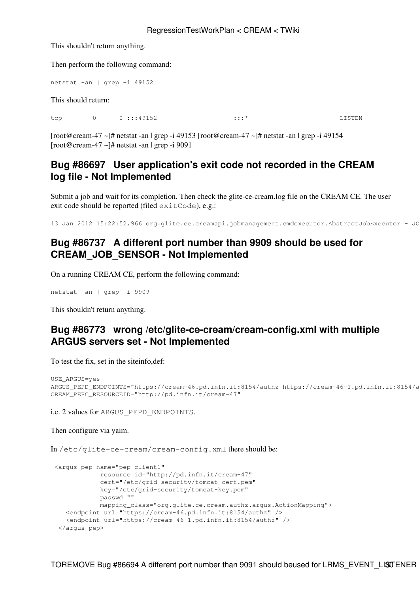#### RegressionTestWorkPlan < CREAM < TWiki

This shouldn't return anything.

Then perform the following command:

```
netstat -an | grep -i 49152
```
This should return:

tcp 0 0 :::49152 :::\* :::\* LISTEN

[root@cream-47 ~]# netstat -an | grep -i 49153 [root@cream-47 ~]# netstat -an | grep -i 49154  $[root@cream-47 \sim ]\# \text{ netstat -an}$  | grep -i 9091

# <span id="page-35-0"></span>**[Bug #86697](https://savannah.cern.ch/bugs/?86697) User application's exit code not recorded in the CREAM log file - Not Implemented**

Submit a job and wait for its completion. Then check the glite-ce-cream.log file on the CREAM CE. The user exit code should be reported (filed exitCode), e.g.:

13 Jan 2012 15:22:52,966 org.glite.ce.creamapi.jobmanagement.cmdexecutor.AbstractJobExecutor - JO

# <span id="page-35-1"></span>**[Bug #86737](https://savannah.cern.ch/bugs/?86737) A different port number than 9909 should be used for CREAM\_JOB\_SENSOR - Not Implemented**

On a running CREAM CE, perform the following command:

netstat -an | grep -i 9909

This shouldn't return anything.

# <span id="page-35-2"></span>**[Bug #86773](https://savannah.cern.ch/bugs/?86773) wrong /etc/glite-ce-cream/cream-config.xml with multiple ARGUS servers set - Not Implemented**

To test the fix, set in the siteinfo,def:

```
USE_ARGUS=yes
ARGUS_PEPD_ENDPOINTS="https://cream-46.pd.infn.it:8154/authz https://cream-46-1.pd.infn.it:8154/authz"
CREAM_PEPC_RESOURCEID="http://pd.infn.it/cream-47"
```
i.e. 2 values for ARGUS\_PEPD\_ENDPOINTS.

Then configure via yaim.

In /etc/glite-ce-cream/cream-config.xml there should be:

```
 <argus-pep name="pep-client1"
            resource_id="http://pd.infn.it/cream-47"
             cert="/etc/grid-security/tomcat-cert.pem"
             key="/etc/grid-security/tomcat-key.pem"
             passwd=""
             mapping_class="org.glite.ce.cream.authz.argus.ActionMapping">
   <endpoint url="https://cream-46.pd.infn.it:8154/authz" />
    <endpoint url="https://cream-46-1.pd.infn.it:8154/authz" />
  </argus-pep>
```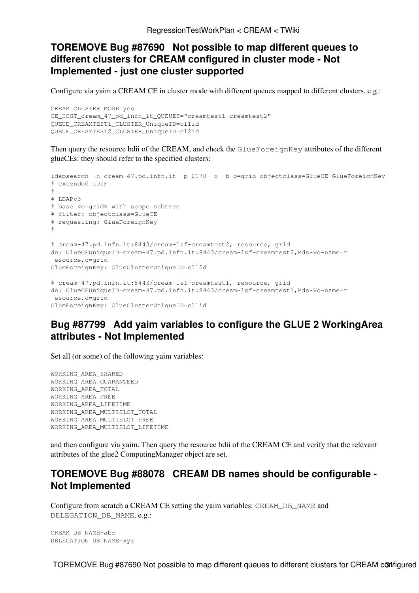# <span id="page-36-0"></span>**TOREMOVE [Bug #87690](https://savannah.cern.ch/bugs/?87690) Not possible to map different queues to different clusters for CREAM configured in cluster mode - Not Implemented - just one cluster supported**

Configure via yaim a CREAM CE in cluster mode with different queues mapped to different clusters, e.g.:

```
CREAM_CLUSTER_MODE=yes
CE_HOST_cream_47_pd_infn_it_QUEUES="creamtest1 creamtest2"
QUEUE_CREAMTEST1_CLUSTER_UniqueID=cl1id
QUEUE_CREAMTEST2_CLUSTER_UniqueID=cl2id
```
Then query the resource bdii of the CREAM, and check the GlueForeignKey attributes of the different glueCEs: they should refer to the specified clusters:

```
ldapsearch -h cream-47.pd.infn.it -p 2170 -x -b o=grid objectclass=GlueCE GlueForeignKey
# extended LDIF
#
# LDAPv3
# base <o=grid> with scope subtree
# filter: objectclass=GlueCE
# requesting: GlueForeignKey 
#
# cream-47.pd.infn.it:8443/cream-lsf-creamtest2, resource, grid
dn: GlueCEUniqueID=cream-47.pd.infn.it:8443/cream-lsf-creamtest2, Mds-Vo-name=r
 esource,o=grid
GlueForeignKey: GlueClusterUniqueID=cl12d
# cream-47.pd.infn.it:8443/cream-lsf-creamtest1, resource, grid
dn: GlueCEUniqueID=cream-47.pd.infn.it:8443/cream-lsf-creamtest1, Mds-Vo-name=r
 esource,o=grid
GlueForeignKey: GlueClusterUniqueID=cl1id
```
# <span id="page-36-1"></span>**[Bug #87799](https://savannah.cern.ch/bugs/?87799) Add yaim variables to configure the GLUE 2 [WorkingArea](https://wiki-igi.cnaf.infn.it/twiki/bin/edit/CREAM/WorkingArea?topicparent=CREAM.RegressionTestWorkPlan;nowysiwyg=0) attributes - Not Implemented**

Set all (or some) of the following yaim variables:

WORKING\_AREA\_SHARED WORKING\_AREA\_GUARANTEED WORKING\_AREA\_TOTAL WORKING\_AREA\_FREE WORKING\_AREA\_LIFETIME WORKING\_AREA\_MULTISLOT\_TOTAL WORKING\_AREA\_MULTISLOT\_FREE WORKING\_AREA\_MULTISLOT\_LIFETIME

and then configure via yaim. Then query the resource bdii of the CREAM CE and verify that the relevant attributes of the glue2 [ComputingManager](https://wiki-igi.cnaf.infn.it/twiki/bin/edit/CREAM/ComputingManager?topicparent=CREAM.RegressionTestWorkPlan;nowysiwyg=0) object are set.

# <span id="page-36-2"></span>**TOREMOVE [Bug #88078](https://savannah.cern.ch/bugs/?88078) CREAM DB names should be configurable - Not Implemented**

Configure from scratch a CREAM CE setting the yaim variables: CREAM\_DB\_NAME and DELEGATION DB NAME. e.g.:

CREAM\_DB\_NAME=abc DELEGATION\_DB\_NAME=xyz

TOREMOVE Bug #87690 Not possible to map different queues to different clusters for CREAM configured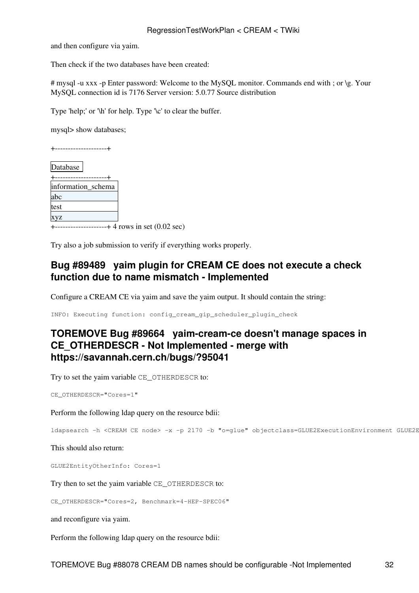and then configure via yaim.

Then check if the two databases have been created:

# mysql -u xxx -p Enter password: Welcome to the [MySQL](https://wiki-igi.cnaf.infn.it/twiki/bin/edit/CREAM/MySQL?topicparent=CREAM.RegressionTestWorkPlan;nowysiwyg=0) monitor. Commands end with ; or \g. Your [MySQL](https://wiki-igi.cnaf.infn.it/twiki/bin/edit/CREAM/MySQL?topicparent=CREAM.RegressionTestWorkPlan;nowysiwyg=0) connection id is 7176 Server version: 5.0.77 Source distribution

Type 'help;' or '\h' for help. Type '\c' to clear the buffer.

mysql> show databases;

+--------------------+

Database |

| information_schema |
|--------------------|
| abc                |
| test               |
| <b>XVZ</b>         |
|                    |

 $-$ ---------------------+ 4 rows in set  $(0.02 \text{ sec})$ 

Try also a job submission to verify if everything works properly.

# <span id="page-37-0"></span>**[Bug #89489](https://savannah.cern.ch/bugs/?89489) yaim plugin for CREAM CE does not execute a check function due to name mismatch - Implemented**

Configure a CREAM CE via yaim and save the yaim output. It should contain the string:

INFO: Executing function: config\_cream\_gip\_scheduler\_plugin\_check

# <span id="page-37-1"></span>**TOREMOVE [Bug #89664](https://savannah.cern.ch/bugs/?89664) yaim-cream-ce doesn't manage spaces in CE\_OTHERDESCR - Not Implemented - merge with <https://savannah.cern.ch/bugs/?95041>**

Try to set the yaim variable CE\_OTHERDESCR to:

CE\_OTHERDESCR="Cores=1"

Perform the following ldap query on the resource bdii:

ldapsearch -h <CREAM CE node> -x -p 2170 -b "o=glue" objectclass=GLUE2ExecutionEnvironment GLUE2E

This should also return:

GLUE2EntityOtherInfo: Cores=1

Try then to set the yaim variable CE\_OTHERDESCR to:

CE\_OTHERDESCR="Cores=2, Benchmark=4-HEP-SPEC06"

and reconfigure via yaim.

Perform the following ldap query on the resource bdii: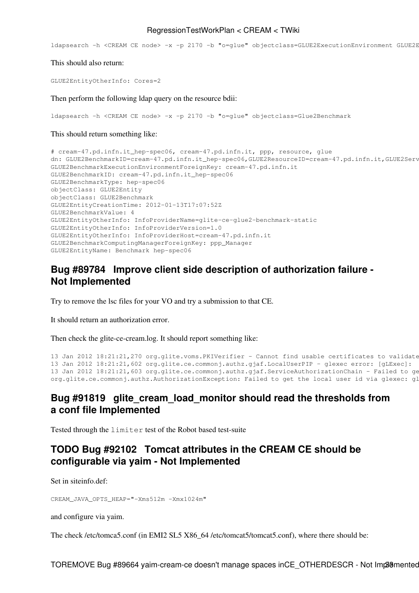#### RegressionTestWorkPlan < CREAM < TWiki

ldapsearch -h <CREAM CE node> -x -p 2170 -b "o=qlue" objectclass=GLUE2ExecutionEnvironment GLUE2E

This should also return:

```
GLUE2EntityOtherInfo: Cores=2
```
Then perform the following ldap query on the resource bdii:

ldapsearch -h <CREAM CE node> -x -p 2170 -b "o=glue" objectclass=Glue2Benchmark

This should return something like:

```
# cream-47.pd.infn.it_hep-spec06, cream-47.pd.infn.it, ppp, resource, glue
dn: GLUE2BenchmarkID=cream-47.pd.infn.it_hep-spec06,GLUE2ResourceID=cream-47.pd.infn.it,GLUE2Serv
GLUE2BenchmarkExecutionEnvironmentForeignKey: cream-47.pd.infn.it
GLUE2BenchmarkID: cream-47.pd.infn.it_hep-spec06
GLUE2BenchmarkType: hep-spec06
objectClass: GLUE2Entity
objectClass: GLUE2Benchmark
GLUE2EntityCreationTime: 2012-01-13T17:07:52Z
GLUE2BenchmarkValue: 4
GLUE2EntityOtherInfo: InfoProviderName=glite-ce-glue2-benchmark-static
GLUE2EntityOtherInfo: InfoProviderVersion=1.0
GLUE2EntityOtherInfo: InfoProviderHost=cream-47.pd.infn.it
GLUE2BenchmarkComputingManagerForeignKey: ppp_Manager
GLUE2EntityName: Benchmark hep-spec06
```
### <span id="page-38-0"></span>**[Bug #89784](https://savannah.cern.ch/bugs/?89784) Improve client side description of authorization failure - Not Implemented**

Try to remove the lsc files for your VO and try a submission to that CE.

It should return an authorization error.

Then check the glite-ce-cream.log. It should report something like:

```
13 Jan 2012 18:21:21,270 org.glite.voms.PKIVerifier - Cannot find usable certificates to validate
13 Jan 2012 18:21:21,602 org.glite.ce.commonj.authz.gjaf.LocalUserPIP - glexec error: [gLExec]:
13 Jan 2012 18:21:21,603 org.glite.ce.commonj.authz.gjaf.ServiceAuthorizationChain - Failed to ge
org.glite.ce.commonj.authz.AuthorizationException: Failed to get the local user id via glexec: gl
```
### <span id="page-38-1"></span>**[Bug #91819](https://savannah.cern.ch/bugs/?91819) glite\_cream\_load\_monitor should read the thresholds from a conf file Implemented**

Tested through the limiter test of the Robot based test-suite

# <span id="page-38-2"></span>**TODO [Bug #92102](https://savannah.cern.ch/bugs/?92102) Tomcat attributes in the CREAM CE should be configurable via yaim - Not Implemented**

Set in siteinfo.def:

CREAM\_JAVA\_OPTS\_HEAP="-Xms512m -Xmx1024m"

and configure via yaim.

The check /etc/tomca5.conf (in EMI2 SL5 X86 64 /etc/tomcat5/tomcat5.conf), where there should be:

TOREMOVE Bug #89664 yaim-cream-ce doesn't manage spaces inCE\_OTHERDESCR - Not Implemented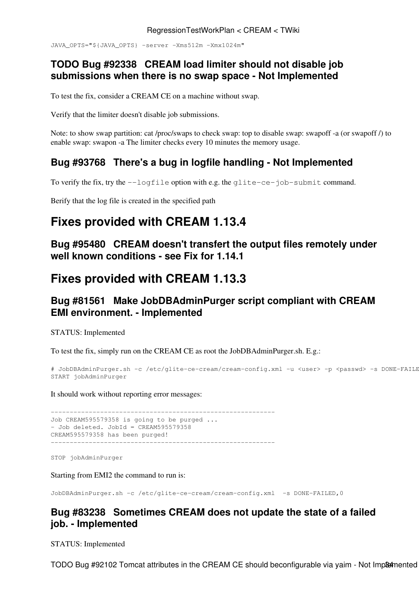JAVA\_OPTS="\${JAVA\_OPTS} -server -Xms512m -Xmx1024m"

# <span id="page-39-0"></span>**TODO [Bug #92338](https://savannah.cern.ch/bugs/?92338) CREAM load limiter should not disable job submissions when there is no swap space - Not Implemented**

To test the fix, consider a CREAM CE on a machine without swap.

Verify that the limiter doesn't disable job submissions.

Note: to show swap partition: cat /proc/swaps to check swap: top to disable swap: swapoff -a (or swapoff /) to enable swap: swapon -a The limiter checks every 10 minutes the memory usage.

# <span id="page-39-1"></span>**[Bug #93768](https://savannah.cern.ch/bugs/?93768) There's a bug in logfile handling - Not Implemented**

To verify the fix, try the --logfile option with e.g. the glite-ce-job-submit command.

Berify that the log file is created in the specified path

# <span id="page-39-2"></span>**Fixes provided with CREAM 1.13.4**

<span id="page-39-3"></span>**[Bug #95480](https://savannah.cern.ch/bugs/?95480) CREAM doesn't transfert the output files remotely under well known conditions - see Fix for 1.14.1**

# <span id="page-39-4"></span>**Fixes provided with CREAM 1.13.3**

# <span id="page-39-5"></span>**[Bug #81561](http://savannah.cern.ch/bugs/?81561) Make [JobDBAdminPurger](https://wiki-igi.cnaf.infn.it/twiki/bin/edit/CREAM/JobDBAdminPurger?topicparent=CREAM.RegressionTestWorkPlan;nowysiwyg=0) script compliant with CREAM EMI environment. - Implemented**

STATUS: Implemented

To test the fix, simply run on the CREAM CE as root the [JobDBAdminPurger.](https://wiki-igi.cnaf.infn.it/twiki/bin/edit/CREAM/JobDBAdminPurger?topicparent=CREAM.RegressionTestWorkPlan;nowysiwyg=0)sh. E.g.:

```
# JobDBAdminPurger.sh -c /etc/glite-ce-cream/cream-config.xml -u <user> -p <passwd> -s DONE-FAILE
START jobAdminPurger
```
It should work without reporting error messages:

----------------------------------------------------------- Job CREAM595579358 is going to be purged ... - Job deleted. JobId = CREAM595579358 CREAM595579358 has been purged! -----------------------------------------------------------

STOP jobAdminPurger

Starting from EMI2 the command to run is:

JobDBAdminPurger.sh -c /etc/glite-ce-cream/cream-config.xml -s DONE-FAILED,0

# <span id="page-39-6"></span>**[Bug #83238](http://savannah.cern.ch/bugs/?83238) Sometimes CREAM does not update the state of a failed job. - Implemented**

STATUS: Implemented

TODO Bug #92102 Tomcat attributes in the CREAM CE should beconfigurable via yaim - Not Implemented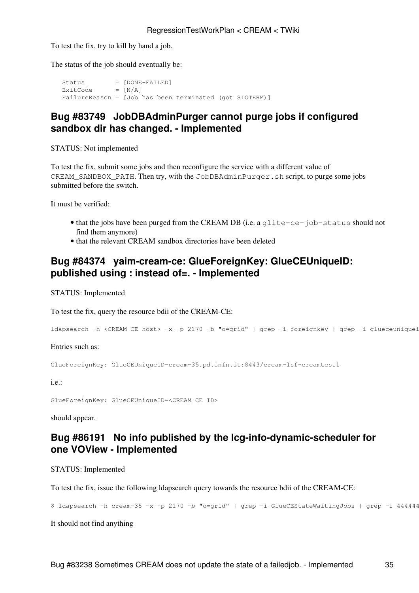To test the fix, try to kill by hand a job.

The status of the job should eventually be:

Status = [DONE-FAILED] Status = [DONE-<br>ExitCode = [N/A] FailureReason = [Job has been terminated (got SIGTERM)]

# <span id="page-40-0"></span>**[Bug #83749](http://savannah.cern.ch/bugs/?83749) [JobDBAdminPurger](https://wiki-igi.cnaf.infn.it/twiki/bin/edit/CREAM/JobDBAdminPurger?topicparent=CREAM.RegressionTestWorkPlan;nowysiwyg=0) cannot purge jobs if configured sandbox dir has changed. - Implemented**

STATUS: Not implemented

To test the fix, submit some jobs and then reconfigure the service with a different value of CREAM\_SANDBOX\_PATH. Then try, with the JobDBAdminPurger.sh script, to purge some jobs submitted before the switch.

It must be verified:

- that the jobs have been purged from the CREAM DB (i.e. a glite-ce-job-status should not find them anymore)
- that the relevant CREAM sandbox directories have been deleted

# <span id="page-40-1"></span>**[Bug #84374](http://savannah.cern.ch/bugs/?84374) yaim-cream-ce: [GlueForeignKey:](https://wiki-igi.cnaf.infn.it/twiki/bin/edit/CREAM/GlueForeignKey?topicparent=CREAM.RegressionTestWorkPlan;nowysiwyg=0) [GlueCEUniqueID](https://wiki-igi.cnaf.infn.it/twiki/bin/edit/CREAM/GlueCEUniqueID?topicparent=CREAM.RegressionTestWorkPlan;nowysiwyg=0): published using : instead of=. - Implemented**

STATUS: Implemented

To test the fix, query the resource bdii of the CREAM-CE:

```
ldapsearch -h <CREAM CE host> -x -p 2170 -b "o=grid" | grep -i foreignkey | grep -i glueceuniqueid
```
Entries such as:

GlueForeignKey: GlueCEUniqueID=cream-35.pd.infn.it:8443/cream-lsf-creamtest1

i.e.:

GlueForeignKey: GlueCEUniqueID=<CREAM CE ID>

should appear.

# <span id="page-40-2"></span>**[Bug #86191](http://savannah.cern.ch/bugs/?86191) No info published by the lcg-info-dynamic-scheduler for one VOView - Implemented**

STATUS: Implemented

To test the fix, issue the following ldapsearch query towards the resource bdii of the CREAM-CE:

\$ ldapsearch -h cream-35 -x -p 2170 -b "o=grid" | grep -i GlueCEStateWaitingJobs | grep -i 444444

It should not find anything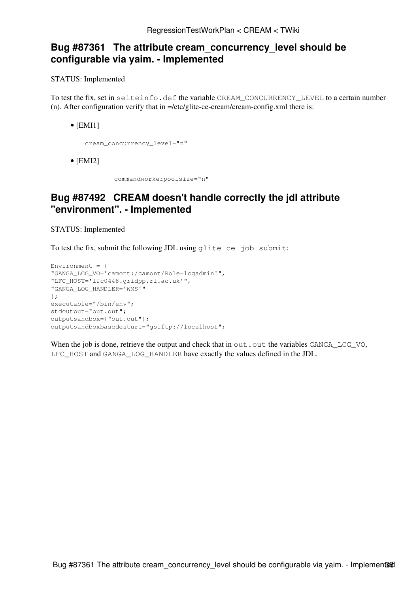### <span id="page-41-0"></span>**[Bug #87361](http://savannah.cern.ch/bugs/?87361) The attribute cream\_concurrency\_level should be configurable via yaim. - Implemented**

STATUS: Implemented

To test the fix, set in seiteinfo.def the variable CREAM\_CONCURRENCY\_LEVEL to a certain number (n). After configuration verify that in  $=$ /etc/glite-ce-cream/cream-config.xml there is:

 $\bullet$  [EMI1]

cream\_concurrency\_level="n"

[EMI2] •

commandworkerpoolsize="n"

### <span id="page-41-1"></span>**[Bug #87492](http://savannah.cern.ch/bugs/?87492) CREAM doesn't handle correctly the jdl attribute "environment". - Implemented**

STATUS: Implemented

To test the fix, submit the following JDL using glite-ce-job-submit:

```
Environment = {
"GANGA_LCG_VO='camont:/camont/Role=lcgadmin'",
"LFC_HOST='lfc0448.gridpp.rl.ac.uk'",
"GANGA_LOG_HANDLER='WMS'"
}; 
executable="/bin/env";
stdoutput="out.out";
outputsandbox={"out.out"};
outputsandboxbasedesturi="gsiftp://localhost";
```
When the job is done, retrieve the output and check that in  $out.out$  to the variables  $GANGA\_LCG\_VO$ , LFC\_HOST and GANGA\_LOG\_HANDLER have exactly the values defined in the JDL.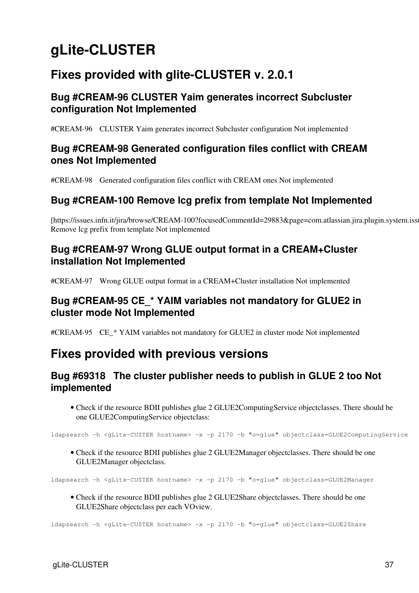# <span id="page-42-0"></span>**gLite-CLUSTER**

# <span id="page-42-1"></span>**Fixes provided with glite-CLUSTER v. 2.0.1**

# <span id="page-42-2"></span>**Bug #CREAM-96 CLUSTER Yaim generates incorrect Subcluster configuration Not Implemented**

[#CREAM-96](https://issues.infn.it/jira/browse/CREAM-96?focusedCommentId=29881&page=com.atlassian.jira.plugin.system.issuetabpanels:comment-tabpanel#comment-29881) CLUSTER Yaim generates incorrect Subcluster configuration Not implemented

# <span id="page-42-3"></span>**Bug #CREAM-98 Generated configuration files conflict with CREAM ones Not Implemented**

[#CREAM-98](https://issues.infn.it/jira/browse/CREAM-98?focusedCommentId=29882&page=com.atlassian.jira.plugin.system.issuetabpanels:comment-tabpanel#comment-29882) Generated configuration files conflict with CREAM ones Not implemented

# <span id="page-42-4"></span>**Bug #CREAM-100 Remove lcg prefix from template Not Implemented**

[https://issues.infn.it/jira/browse/CREAM-100?focusedCommentId=29883&page=com.atlassian.jira.plugin.system.issu Remove lcg prefix from template Not implemented

# <span id="page-42-5"></span>**Bug #CREAM-97 Wrong GLUE output format in a CREAM+Cluster installation Not Implemented**

[#CREAM-97](https://issues.infn.it/jira/browse/CREAM-97?focusedCommentId=29884&page=com.atlassian.jira.plugin.system.issuetabpanels:comment-tabpanel#comment-29884) Wrong GLUE output format in a CREAM+Cluster installation Not implemented

# <span id="page-42-6"></span>**Bug #CREAM-95 CE\_\* YAIM variables not mandatory for GLUE2 in cluster mode Not Implemented**

[#CREAM-95](https://issues.infn.it/jira/browse/CREAM-95?focusedCommentId=29885&page=com.atlassian.jira.plugin.system.issuetabpanels:comment-tabpanel#comment-29885) CE\_\* YAIM variables not mandatory for GLUE2 in cluster mode Not implemented

# <span id="page-42-7"></span>**Fixes provided with previous versions**

# <span id="page-42-8"></span>**[Bug #69318](https://savannah.cern.ch/bugs/?69318) The cluster publisher needs to publish in GLUE 2 too Not implemented**

• Check if the resource BDII publishes glue 2 [GLUE2ComputingService](https://wiki-igi.cnaf.infn.it/twiki/bin/edit/CREAM/GLUE2ComputingService?topicparent=CREAM.RegressionTestWorkPlan;nowysiwyg=0) objectclasses. There should be one [GLUE2ComputingService](https://wiki-igi.cnaf.infn.it/twiki/bin/edit/CREAM/GLUE2ComputingService?topicparent=CREAM.RegressionTestWorkPlan;nowysiwyg=0) objectclass:

ldapsearch -h <gLite-CUSTER hostname> -x -p 2170 -b "o=glue" objectclass=GLUE2ComputingService

• Check if the resource BDII publishes glue 2 [GLUE2Manager](https://wiki-igi.cnaf.infn.it/twiki/bin/edit/CREAM/GLUE2Manager?topicparent=CREAM.RegressionTestWorkPlan;nowysiwyg=0) objectclasses. There should be one [GLUE2Manager](https://wiki-igi.cnaf.infn.it/twiki/bin/edit/CREAM/GLUE2Manager?topicparent=CREAM.RegressionTestWorkPlan;nowysiwyg=0) objectclass.

ldapsearch -h <gLite-CUSTER hostname> -x -p 2170 -b "o=glue" objectclass=GLUE2Manager

• Check if the resource BDII publishes glue 2 [GLUE2Share](https://wiki-igi.cnaf.infn.it/twiki/bin/edit/CREAM/GLUE2Share?topicparent=CREAM.RegressionTestWorkPlan;nowysiwyg=0) objectclasses. There should be one [GLUE2Share](https://wiki-igi.cnaf.infn.it/twiki/bin/edit/CREAM/GLUE2Share?topicparent=CREAM.RegressionTestWorkPlan;nowysiwyg=0) objectclass per each VOview.

ldapsearch -h <gLite-CUSTER hostname> -x -p 2170 -b "o=glue" objectclass=GLUE2Share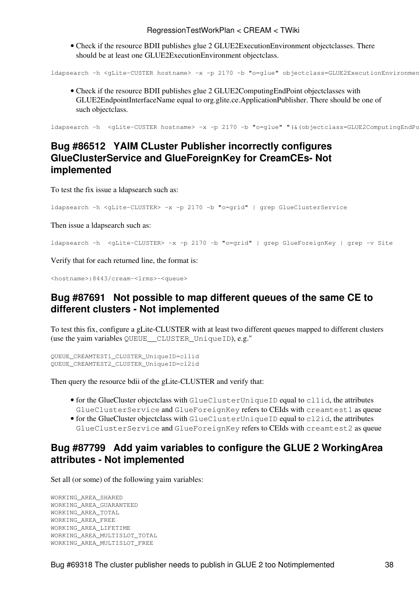• Check if the resource BDII publishes glue 2 [GLUE2ExecutionEnvironment](https://wiki-igi.cnaf.infn.it/twiki/bin/edit/CREAM/GLUE2ExecutionEnvironment?topicparent=CREAM.RegressionTestWorkPlan;nowysiwyg=0) objectclasses. There should be at least one [GLUE2ExecutionEnvironment](https://wiki-igi.cnaf.infn.it/twiki/bin/edit/CREAM/GLUE2ExecutionEnvironment?topicparent=CREAM.RegressionTestWorkPlan;nowysiwyg=0) objectclass.

ldapsearch -h <gLite-CUSTER hostname> -x -p 2170 -b "o=glue" objectclass=GLUE2ExecutionEnvironmen

• Check if the resource BDII publishes glue 2 [GLUE2ComputingEndPoint](https://wiki-igi.cnaf.infn.it/twiki/bin/edit/CREAM/GLUE2ComputingEndPoint?topicparent=CREAM.RegressionTestWorkPlan;nowysiwyg=0) objectclasses with [GLUE2EndpointInterfaceName](https://wiki-igi.cnaf.infn.it/twiki/bin/edit/CREAM/GLUE2EndpointInterfaceName?topicparent=CREAM.RegressionTestWorkPlan;nowysiwyg=0) equal to org.glite.ce.ApplicationPublisher. There should be one of such objectclass.

ldapsearch -h <gLite-CUSTER hostname> -x -p 2170 -b "o=glue" "(&(objectclass=GLUE2ComputingEndPc

# <span id="page-43-0"></span>**[Bug #86512](https://savannah.cern.ch/bugs/?86512) YAIM CLuster Publisher incorrectly configures [GlueClusterService](https://wiki-igi.cnaf.infn.it/twiki/bin/edit/CREAM/GlueClusterService?topicparent=CREAM.RegressionTestWorkPlan;nowysiwyg=0) and [GlueForeignKey](https://wiki-igi.cnaf.infn.it/twiki/bin/edit/CREAM/GlueForeignKey?topicparent=CREAM.RegressionTestWorkPlan;nowysiwyg=0) for [CreamCEs](https://wiki-igi.cnaf.infn.it/twiki/bin/edit/CREAM/CreamCEs?topicparent=CREAM.RegressionTestWorkPlan;nowysiwyg=0)- Not implemented**

To test the fix issue a ldapsearch such as:

ldapsearch -h <gLite-CLUSTER> -x -p 2170 -b "o=grid" | grep GlueClusterService

Then issue a ldapsearch such as:

ldapsearch -h <gLite-CLUSTER> -x -p 2170 -b "o=grid" | grep GlueForeignKey | grep -v Site

Verify that for each returned line, the format is:

<hostname>:8443/cream-<lrms>-<queue>

### <span id="page-43-1"></span>**[Bug #87691](https://savannah.cern.ch/bugs/?87691) Not possible to map different queues of the same CE to different clusters - Not implemented**

To test this fix, configure a gLite-CLUSTER with at least two different queues mapped to different clusters (use the yaim variables QUEUE\_\_CLUSTER\_UniqueID), e.g."

QUEUE\_CREAMTEST1\_CLUSTER\_UniqueID=cl1id QUEUE\_CREAMTEST2\_CLUSTER\_UniqueID=cl2id

Then query the resource bdii of the gLite-CLUSTER and verify that:

- for the [GlueCluster](https://wiki-igi.cnaf.infn.it/twiki/bin/edit/CREAM/GlueCluster?topicparent=CREAM.RegressionTestWorkPlan;nowysiwyg=0) objectclass with GlueClusterUniqueID equal to cl1id, the attributes GlueClusterService and GlueForeignKey refers to CEIds with creamtest1 as queue
- for the [GlueCluster](https://wiki-igi.cnaf.infn.it/twiki/bin/edit/CREAM/GlueCluster?topicparent=CREAM.RegressionTestWorkPlan;nowysiwyg=0) objectclass with GlueClusterUniqueID equal to cl2id, the attributes GlueClusterService and GlueForeignKey refers to CEIds with creamtest2 as queue

# <span id="page-43-2"></span>**[Bug #87799](https://savannah.cern.ch/bugs/?87799) Add yaim variables to configure the GLUE 2 [WorkingArea](https://wiki-igi.cnaf.infn.it/twiki/bin/edit/CREAM/WorkingArea?topicparent=CREAM.RegressionTestWorkPlan;nowysiwyg=0) attributes - Not implemented**

Set all (or some) of the following yaim variables:

```
WORKING_AREA_SHARED
WORKING_AREA_GUARANTEED
WORKING_AREA_TOTAL
WORKING_AREA_FREE
WORKING_AREA_LIFETIME
WORKING_AREA_MULTISLOT_TOTAL
WORKING_AREA_MULTISLOT_FREE
```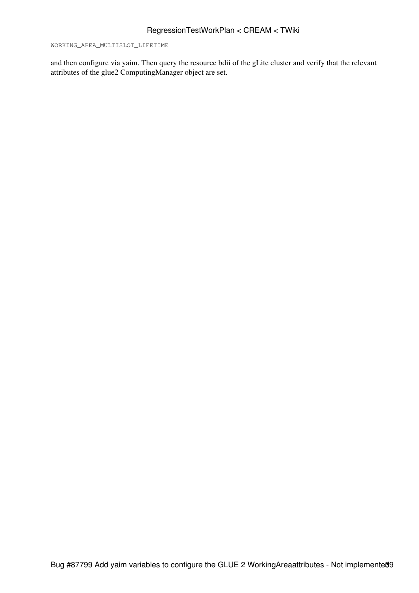WORKING\_AREA\_MULTISLOT\_LIFETIME

and then configure via yaim. Then query the resource bdii of the gLite cluster and verify that the relevant attributes of the glue2 [ComputingManager](https://wiki-igi.cnaf.infn.it/twiki/bin/edit/CREAM/ComputingManager?topicparent=CREAM.RegressionTestWorkPlan;nowysiwyg=0) object are set.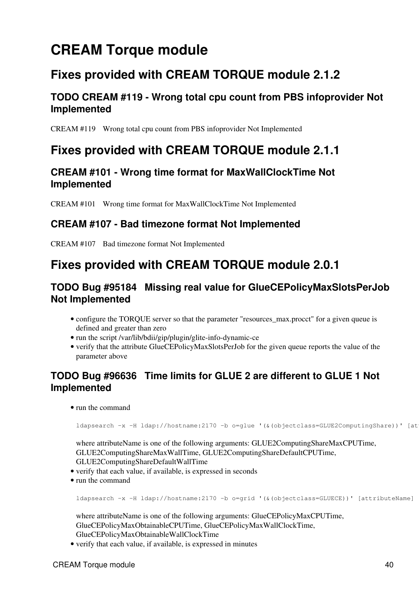# <span id="page-45-0"></span>**CREAM Torque module**

# <span id="page-45-1"></span>**Fixes provided with CREAM TORQUE module 2.1.2**

# <span id="page-45-2"></span>**TODO CREAM #119 - Wrong total cpu count from PBS infoprovider Not Implemented**

[CREAM #119](https://issues.infn.it/jira/browse/CREAM-119) Wrong total cpu count from PBS infoprovider Not Implemented

# <span id="page-45-3"></span>**Fixes provided with CREAM TORQUE module 2.1.1**

# <span id="page-45-4"></span>**CREAM #101 - Wrong time format for [MaxWallClockTime](https://wiki-igi.cnaf.infn.it/twiki/bin/edit/CREAM/MaxWallClockTime?topicparent=CREAM.RegressionTestWorkPlan;nowysiwyg=0) Not Implemented**

[CREAM #101](https://issues.infn.it/jira/browse/CREAM-101) Wrong time format for [MaxWallClockTime](https://wiki-igi.cnaf.infn.it/twiki/bin/edit/CREAM/MaxWallClockTime?topicparent=CREAM.RegressionTestWorkPlan;nowysiwyg=0) Not Implemented

# <span id="page-45-5"></span>**CREAM #107 - Bad timezone format Not Implemented**

[CREAM #107](https://issues.infn.it/jira/browse/CREAM-107) Bad timezone format Not Implemented

# <span id="page-45-6"></span>**Fixes provided with CREAM TORQUE module 2.0.1**

# <span id="page-45-7"></span>**TODO [Bug #95184](https://savannah.cern.ch/bugs/?95184) Missing real value for GlueCEPolicyMaxSlotsPerJob Not Implemented**

- configure the TORQUE server so that the parameter "resources\_max.procct" for a given queue is defined and greater than zero
- run the script /var/lib/bdii/gip/plugin/glite-info-dynamic-ce
- verify that the attribute GlueCEPolicyMaxSlotsPerJob for the given queue reports the value of the parameter above

# <span id="page-45-8"></span>**TODO [Bug #96636](https://savannah.cern.ch/bugs/?96636) Time limits for GLUE 2 are different to GLUE 1 Not Implemented**

• run the command

ldapsearch -x -H ldap://hostname:2170 -b o=glue '(&(objectclass=GLUE2ComputingShare))' [at

where attributeName is one of the following arguments: GLUE2ComputingShareMaxCPUTime, GLUE2ComputingShareMaxWallTime, GLUE2ComputingShareDefaultCPUTime, GLUE2ComputingShareDefaultWallTime

- verify that each value, if available, is expressed in seconds
- run the command

ldapsearch -x -H ldap://hostname:2170 -b o=grid '(&(objectclass=GLUECE))' [attributeName]

where attributeName is one of the following arguments: GlueCEPolicyMaxCPUTime, GlueCEPolicyMaxObtainableCPUTime, GlueCEPolicyMaxWallClockTime, GlueCEPolicyMaxObtainableWallClockTime

• verify that each value, if available, is expressed in minutes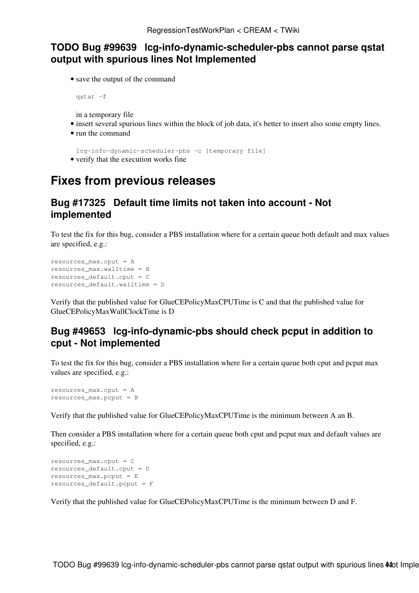### <span id="page-46-0"></span>**TODO [Bug #99639](https://savannah.cern.ch/bugs/?99639) lcg-info-dynamic-scheduler-pbs cannot parse qstat output with spurious lines Not Implemented**

• save the output of the command

qstat -f

in a temporary file

- insert several spurious lines within the block of job data, it's better to insert also some empty lines.
- run the command

lcg-info-dynamic-scheduler-pbs -c [temporary file]

• verify that the execution works fine

# <span id="page-46-1"></span>**Fixes from previous releases**

### <span id="page-46-2"></span>**[Bug #17325](https://savannah.cern.ch/bugs/?17325) Default time limits not taken into account - Not implemented**

To test the fix for this bug, consider a PBS installation where for a certain queue both default and max values are specified, e.g.:

```
resources_max.cput = A
resources_max.walltime = B
resources_default.cput = C
resources_default.walltime = D
```
Verify that the published value for [GlueCEPolicyMaxCPUTime](https://wiki-igi.cnaf.infn.it/twiki/bin/edit/CREAM/GlueCEPolicyMaxCPUTime?topicparent=CREAM.RegressionTestWorkPlan;nowysiwyg=0) is C and that the published value for [GlueCEPolicyMaxWallClockTime](https://wiki-igi.cnaf.infn.it/twiki/bin/edit/CREAM/GlueCEPolicyMaxWallClockTime?topicparent=CREAM.RegressionTestWorkPlan;nowysiwyg=0) is D

# <span id="page-46-3"></span>**[Bug #49653](https://savannah.cern.ch/bugs/?49653) lcg-info-dynamic-pbs should check pcput in addition to cput - Not implemented**

To test the fix for this bug, consider a PBS installation where for a certain queue both cput and pcput max values are specified, e.g.:

```
resources max.cput = Aresources_max.pcput = B
```
Verify that the published value for [GlueCEPolicyMaxCPUTime](https://wiki-igi.cnaf.infn.it/twiki/bin/edit/CREAM/GlueCEPolicyMaxCPUTime?topicparent=CREAM.RegressionTestWorkPlan;nowysiwyg=0) is the minimum between A an B.

Then consider a PBS installation where for a certain queue both cput and pcput max and default values are specified, e.g.:

```
resources_max.cput = C
resources_default.cput = D
resources_max.pcput = E
resources_default.pcput = F
```
Verify that the published value for [GlueCEPolicyMaxCPUTime](https://wiki-igi.cnaf.infn.it/twiki/bin/edit/CREAM/GlueCEPolicyMaxCPUTime?topicparent=CREAM.RegressionTestWorkPlan;nowysiwyg=0) is the minimum between D and F.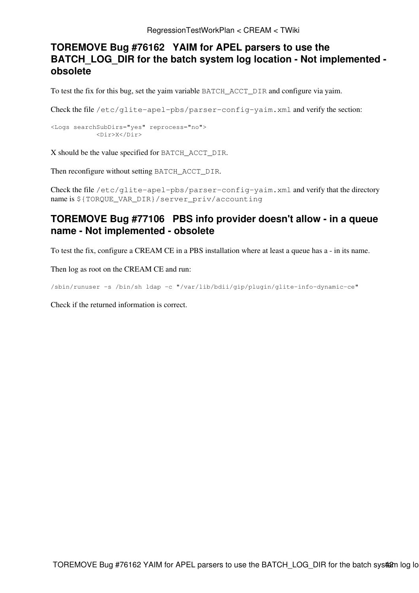# <span id="page-47-0"></span>**TOREMOVE [Bug #76162](https://savannah.cern.ch/bugs/?76162) YAIM for APEL parsers to use the BATCH\_LOG\_DIR for the batch system log location - Not implemented obsolete**

To test the fix for this bug, set the yaim variable BATCH\_ACCT\_DIR and configure via yaim.

Check the file /etc/glite-apel-pbs/parser-config-yaim.xml and verify the section:

```
<Logs searchSubDirs="yes" reprocess="no">
           <Dir>X</Dir>
```
X should be the value specified for BATCH\_ACCT\_DIR.

Then reconfigure without setting BATCH\_ACCT\_DIR.

Check the file /etc/glite-apel-pbs/parser-config-yaim.xml and verify that the directory name is \${TORQUE\_VAR\_DIR}/server\_priv/accounting

# <span id="page-47-1"></span>**TOREMOVE [Bug #77106](https://savannah.cern.ch/bugs/?77106) PBS info provider doesn't allow - in a queue name - Not implemented - obsolete**

To test the fix, configure a CREAM CE in a PBS installation where at least a queue has a - in its name.

Then log as root on the CREAM CE and run:

/sbin/runuser -s /bin/sh ldap -c "/var/lib/bdii/gip/plugin/glite-info-dynamic-ce"

Check if the returned information is correct.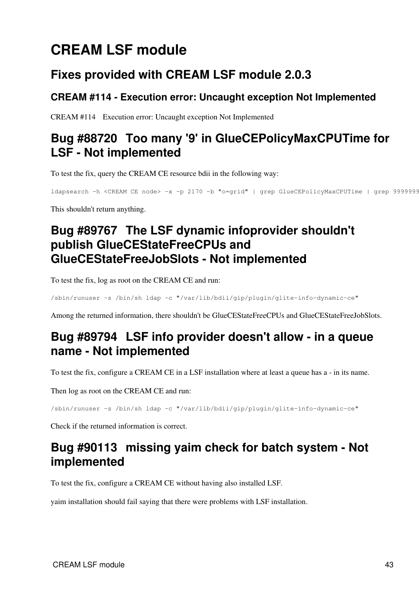# <span id="page-48-0"></span>**CREAM LSF module**

# <span id="page-48-1"></span>**Fixes provided with CREAM LSF module 2.0.3**

# <span id="page-48-2"></span>**CREAM #114 - Execution error: Uncaught exception Not Implemented**

[CREAM #114](https://issues.infn.it/jira/browse/CREAM-114) Execution error: Uncaught exception Not Implemented

# <span id="page-48-3"></span>**[Bug #88720](https://savannah.cern.ch/bugs/?88720) Too many '9' in [GlueCEPolicyMaxCPUTime](https://wiki-igi.cnaf.infn.it/twiki/bin/edit/CREAM/GlueCEPolicyMaxCPUTime?topicparent=CREAM.RegressionTestWorkPlan;nowysiwyg=0) for LSF - Not implemented**

To test the fix, query the CREAM CE resource bdii in the following way:

ldapsearch -h <CREAM CE node> -x -p 2170 -b "o=grid" | grep GlueCEPolicyMaxCPUTime | grep 9999999999

This shouldn't return anything.

# <span id="page-48-4"></span>**[Bug #89767](https://savannah.cern.ch/bugs/?89767) The LSF dynamic infoprovider shouldn't publish [GlueCEStateFreeCPUs](https://wiki-igi.cnaf.infn.it/twiki/bin/edit/CREAM/GlueCEStateFreeCPUs?topicparent=CREAM.RegressionTestWorkPlan;nowysiwyg=0) and [GlueCEStateFreeJobSlots](https://wiki-igi.cnaf.infn.it/twiki/bin/edit/CREAM/GlueCEStateFreeJobSlots?topicparent=CREAM.RegressionTestWorkPlan;nowysiwyg=0) - Not implemented**

To test the fix, log as root on the CREAM CE and run:

/sbin/runuser -s /bin/sh ldap -c "/var/lib/bdii/gip/plugin/glite-info-dynamic-ce"

Among the returned information, there shouldn't be [GlueCEStateFreeCPUs](https://wiki-igi.cnaf.infn.it/twiki/bin/edit/CREAM/GlueCEStateFreeCPUs?topicparent=CREAM.RegressionTestWorkPlan;nowysiwyg=0) and [GlueCEStateFreeJobSlots.](https://wiki-igi.cnaf.infn.it/twiki/bin/edit/CREAM/GlueCEStateFreeJobSlots?topicparent=CREAM.RegressionTestWorkPlan;nowysiwyg=0)

# <span id="page-48-5"></span>**[Bug #89794](https://savannah.cern.ch/bugs/?89794) LSF info provider doesn't allow - in a queue name - Not implemented**

To test the fix, configure a CREAM CE in a LSF installation where at least a queue has a - in its name.

Then log as root on the CREAM CE and run:

/sbin/runuser -s /bin/sh ldap -c "/var/lib/bdii/gip/plugin/glite-info-dynamic-ce"

Check if the returned information is correct.

# <span id="page-48-6"></span>**[Bug #90113](https://savannah.cern.ch/bugs/index.php?90113) missing yaim check for batch system - Not implemented**

To test the fix, configure a CREAM CE without having also installed LSF.

yaim installation should fail saying that there were problems with LSF installation.